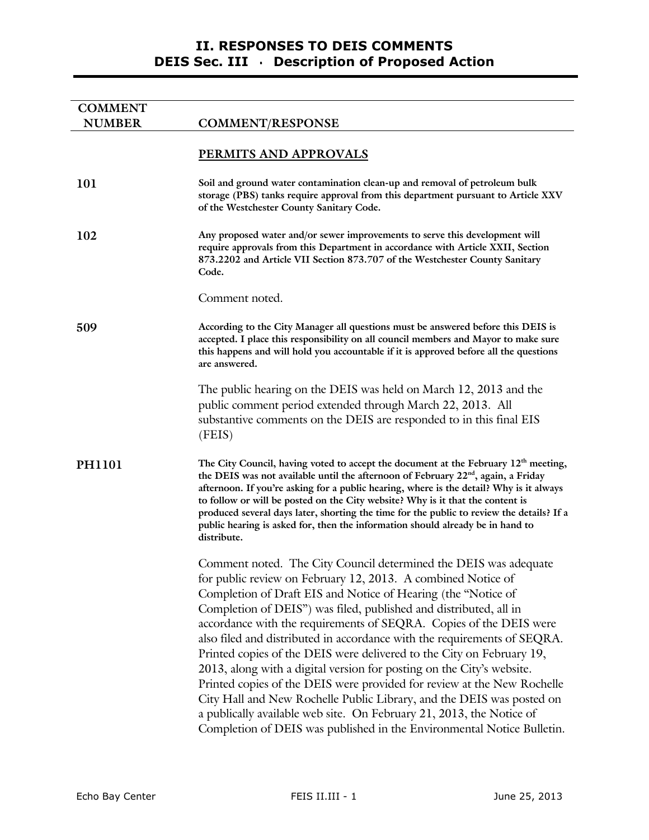| <b>COMMENT</b> |                                                                                                                                                                                                                                                                                                                                                                                                                                                                                                                                                                                                                                                                                                                                                                                                                                                                                  |
|----------------|----------------------------------------------------------------------------------------------------------------------------------------------------------------------------------------------------------------------------------------------------------------------------------------------------------------------------------------------------------------------------------------------------------------------------------------------------------------------------------------------------------------------------------------------------------------------------------------------------------------------------------------------------------------------------------------------------------------------------------------------------------------------------------------------------------------------------------------------------------------------------------|
| <b>NUMBER</b>  | <b>COMMENT/RESPONSE</b>                                                                                                                                                                                                                                                                                                                                                                                                                                                                                                                                                                                                                                                                                                                                                                                                                                                          |
|                | PERMITS AND APPROVALS                                                                                                                                                                                                                                                                                                                                                                                                                                                                                                                                                                                                                                                                                                                                                                                                                                                            |
| 101            | Soil and ground water contamination clean-up and removal of petroleum bulk<br>storage (PBS) tanks require approval from this department pursuant to Article XXV<br>of the Westchester County Sanitary Code.                                                                                                                                                                                                                                                                                                                                                                                                                                                                                                                                                                                                                                                                      |
| 102            | Any proposed water and/or sewer improvements to serve this development will<br>require approvals from this Department in accordance with Article XXII, Section<br>873.2202 and Article VII Section 873.707 of the Westchester County Sanitary<br>Code.                                                                                                                                                                                                                                                                                                                                                                                                                                                                                                                                                                                                                           |
|                | Comment noted.                                                                                                                                                                                                                                                                                                                                                                                                                                                                                                                                                                                                                                                                                                                                                                                                                                                                   |
| 509            | According to the City Manager all questions must be answered before this DEIS is<br>accepted. I place this responsibility on all council members and Mayor to make sure<br>this happens and will hold you accountable if it is approved before all the questions<br>are answered.                                                                                                                                                                                                                                                                                                                                                                                                                                                                                                                                                                                                |
|                | The public hearing on the DEIS was held on March 12, 2013 and the<br>public comment period extended through March 22, 2013. All<br>substantive comments on the DEIS are responded to in this final EIS<br>(FEIS)                                                                                                                                                                                                                                                                                                                                                                                                                                                                                                                                                                                                                                                                 |
| <b>PH1101</b>  | The City Council, having voted to accept the document at the February 12 <sup>th</sup> meeting,<br>the DEIS was not available until the afternoon of February 22 <sup>nd</sup> , again, a Friday<br>afternoon. If you're asking for a public hearing, where is the detail? Why is it always<br>to follow or will be posted on the City website? Why is it that the content is<br>produced several days later, shorting the time for the public to review the details? If a<br>public hearing is asked for, then the information should already be in hand to<br>distribute.                                                                                                                                                                                                                                                                                                      |
|                | Comment noted. The City Council determined the DEIS was adequate<br>for public review on February 12, 2013. A combined Notice of<br>Completion of Draft EIS and Notice of Hearing (the "Notice of<br>Completion of DEIS") was filed, published and distributed, all in<br>accordance with the requirements of SEQRA. Copies of the DEIS were<br>also filed and distributed in accordance with the requirements of SEQRA.<br>Printed copies of the DEIS were delivered to the City on February 19,<br>2013, along with a digital version for posting on the City's website.<br>Printed copies of the DEIS were provided for review at the New Rochelle<br>City Hall and New Rochelle Public Library, and the DEIS was posted on<br>a publically available web site. On February 21, 2013, the Notice of<br>Completion of DEIS was published in the Environmental Notice Bulletin. |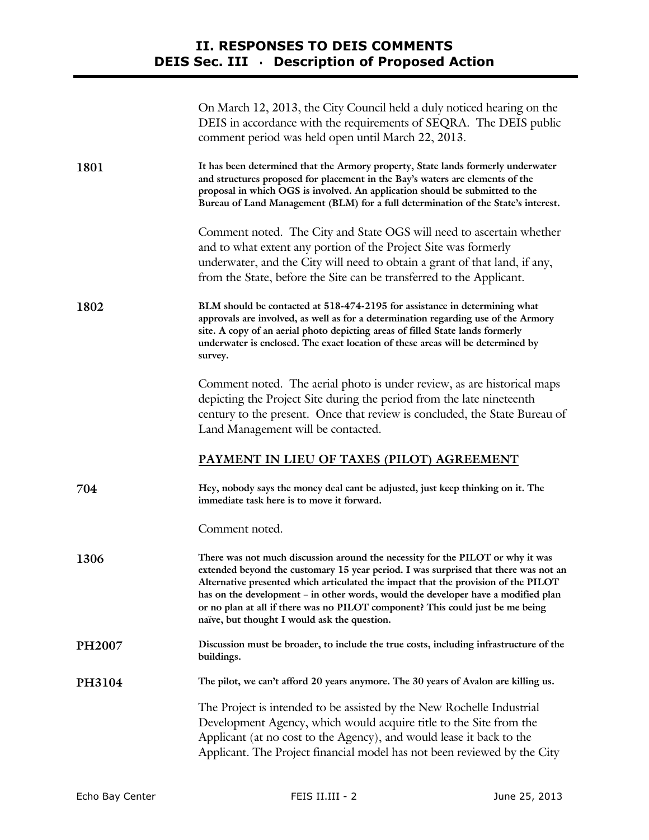|               | On March 12, 2013, the City Council held a duly noticed hearing on the<br>DEIS in accordance with the requirements of SEQRA. The DEIS public<br>comment period was held open until March 22, 2013.                                                                                                                                                                                                                                                                                 |
|---------------|------------------------------------------------------------------------------------------------------------------------------------------------------------------------------------------------------------------------------------------------------------------------------------------------------------------------------------------------------------------------------------------------------------------------------------------------------------------------------------|
| 1801          | It has been determined that the Armory property, State lands formerly underwater<br>and structures proposed for placement in the Bay's waters are elements of the<br>proposal in which OGS is involved. An application should be submitted to the<br>Bureau of Land Management (BLM) for a full determination of the State's interest.                                                                                                                                             |
|               | Comment noted. The City and State OGS will need to ascertain whether<br>and to what extent any portion of the Project Site was formerly<br>underwater, and the City will need to obtain a grant of that land, if any,<br>from the State, before the Site can be transferred to the Applicant.                                                                                                                                                                                      |
| 1802          | BLM should be contacted at 518-474-2195 for assistance in determining what<br>approvals are involved, as well as for a determination regarding use of the Armory<br>site. A copy of an aerial photo depicting areas of filled State lands formerly<br>underwater is enclosed. The exact location of these areas will be determined by<br>survey.                                                                                                                                   |
|               | Comment noted. The aerial photo is under review, as are historical maps<br>depicting the Project Site during the period from the late nineteenth<br>century to the present. Once that review is concluded, the State Bureau of<br>Land Management will be contacted.                                                                                                                                                                                                               |
|               | PAYMENT IN LIEU OF TAXES (PILOT) AGREEMENT                                                                                                                                                                                                                                                                                                                                                                                                                                         |
| 704           | Hey, nobody says the money deal cant be adjusted, just keep thinking on it. The<br>immediate task here is to move it forward.                                                                                                                                                                                                                                                                                                                                                      |
|               | Comment noted.                                                                                                                                                                                                                                                                                                                                                                                                                                                                     |
| 1306          | There was not much discussion around the necessity for the PILOT or why it was<br>extended beyond the customary 15 year period. I was surprised that there was not an<br>Alternative presented which articulated the impact that the provision of the PILOT<br>has on the development - in other words, would the developer have a modified plan<br>or no plan at all if there was no PILOT component? This could just be me being<br>naïve, but thought I would ask the question. |
| <b>PH2007</b> | Discussion must be broader, to include the true costs, including infrastructure of the<br>buildings.                                                                                                                                                                                                                                                                                                                                                                               |
| PH3104        | The pilot, we can't afford 20 years anymore. The 30 years of Avalon are killing us.                                                                                                                                                                                                                                                                                                                                                                                                |
|               | The Project is intended to be assisted by the New Rochelle Industrial<br>Development Agency, which would acquire title to the Site from the<br>Applicant (at no cost to the Agency), and would lease it back to the<br>Applicant. The Project financial model has not been reviewed by the City                                                                                                                                                                                    |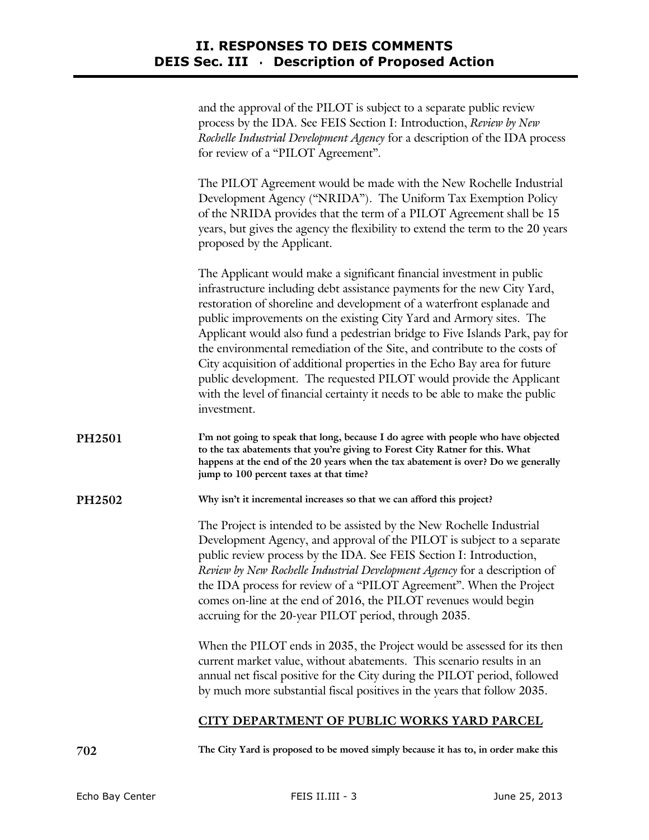|               | and the approval of the PILOT is subject to a separate public review<br>process by the IDA. See FEIS Section I: Introduction, Review by New<br>Rochelle Industrial Development Agency for a description of the IDA process<br>for review of a "PILOT Agreement".                                                                                                                                                                                                                                                                                                                                                                                                                                                  |
|---------------|-------------------------------------------------------------------------------------------------------------------------------------------------------------------------------------------------------------------------------------------------------------------------------------------------------------------------------------------------------------------------------------------------------------------------------------------------------------------------------------------------------------------------------------------------------------------------------------------------------------------------------------------------------------------------------------------------------------------|
|               | The PILOT Agreement would be made with the New Rochelle Industrial<br>Development Agency ("NRIDA"). The Uniform Tax Exemption Policy<br>of the NRIDA provides that the term of a PILOT Agreement shall be 15<br>years, but gives the agency the flexibility to extend the term to the 20 years<br>proposed by the Applicant.                                                                                                                                                                                                                                                                                                                                                                                      |
|               | The Applicant would make a significant financial investment in public<br>infrastructure including debt assistance payments for the new City Yard,<br>restoration of shoreline and development of a waterfront esplanade and<br>public improvements on the existing City Yard and Armory sites. The<br>Applicant would also fund a pedestrian bridge to Five Islands Park, pay for<br>the environmental remediation of the Site, and contribute to the costs of<br>City acquisition of additional properties in the Echo Bay area for future<br>public development. The requested PILOT would provide the Applicant<br>with the level of financial certainty it needs to be able to make the public<br>investment. |
| <b>PH2501</b> | I'm not going to speak that long, because I do agree with people who have objected<br>to the tax abatements that you're giving to Forest City Ratner for this. What<br>happens at the end of the 20 years when the tax abatement is over? Do we generally<br>jump to 100 percent taxes at that time?                                                                                                                                                                                                                                                                                                                                                                                                              |
| PH2502        | Why isn't it incremental increases so that we can afford this project?                                                                                                                                                                                                                                                                                                                                                                                                                                                                                                                                                                                                                                            |
|               | The Project is intended to be assisted by the New Rochelle Industrial<br>Development Agency, and approval of the PILOT is subject to a separate<br>public review process by the IDA. See FEIS Section I: Introduction,<br>Review by New Rochelle Industrial Development Agency for a description of<br>the IDA process for review of a "PILOT Agreement". When the Project<br>comes on-line at the end of 2016, the PILOT revenues would begin<br>accruing for the 20-year PILOT period, through 2035.                                                                                                                                                                                                            |
|               | When the PILOT ends in 2035, the Project would be assessed for its then<br>current market value, without abatements. This scenario results in an<br>annual net fiscal positive for the City during the PILOT period, followed<br>by much more substantial fiscal positives in the years that follow 2035.                                                                                                                                                                                                                                                                                                                                                                                                         |
|               | CITY DEPARTMENT OF PUBLIC WORKS YARD PARCEL                                                                                                                                                                                                                                                                                                                                                                                                                                                                                                                                                                                                                                                                       |
| 702           | The City Yard is proposed to be moved simply because it has to, in order make this                                                                                                                                                                                                                                                                                                                                                                                                                                                                                                                                                                                                                                |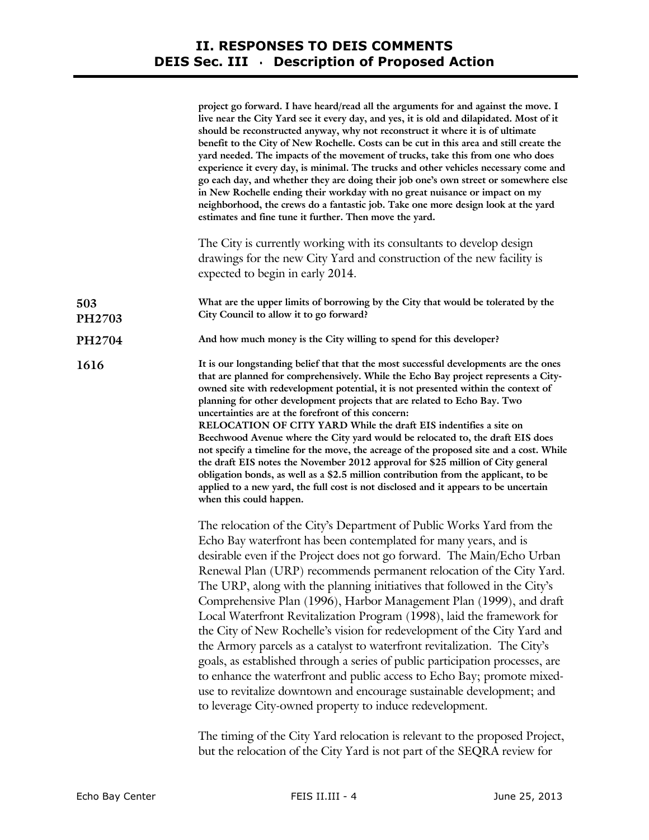|               | project go forward. I have heard/read all the arguments for and against the move. I<br>live near the City Yard see it every day, and yes, it is old and dilapidated. Most of it<br>should be reconstructed anyway, why not reconstruct it where it is of ultimate<br>benefit to the City of New Rochelle. Costs can be cut in this area and still create the<br>yard needed. The impacts of the movement of trucks, take this from one who does<br>experience it every day, is minimal. The trucks and other vehicles necessary come and<br>go each day, and whether they are doing their job one's own street or somewhere else<br>in New Rochelle ending their workday with no great nuisance or impact on my<br>neighborhood, the crews do a fantastic job. Take one more design look at the yard<br>estimates and fine tune it further. Then move the yard.                                                                                                                    |
|---------------|------------------------------------------------------------------------------------------------------------------------------------------------------------------------------------------------------------------------------------------------------------------------------------------------------------------------------------------------------------------------------------------------------------------------------------------------------------------------------------------------------------------------------------------------------------------------------------------------------------------------------------------------------------------------------------------------------------------------------------------------------------------------------------------------------------------------------------------------------------------------------------------------------------------------------------------------------------------------------------|
|               | The City is currently working with its consultants to develop design<br>drawings for the new City Yard and construction of the new facility is<br>expected to begin in early 2014.                                                                                                                                                                                                                                                                                                                                                                                                                                                                                                                                                                                                                                                                                                                                                                                                 |
| 503<br>PH2703 | What are the upper limits of borrowing by the City that would be tolerated by the<br>City Council to allow it to go forward?                                                                                                                                                                                                                                                                                                                                                                                                                                                                                                                                                                                                                                                                                                                                                                                                                                                       |
| PH2704        | And how much money is the City willing to spend for this developer?                                                                                                                                                                                                                                                                                                                                                                                                                                                                                                                                                                                                                                                                                                                                                                                                                                                                                                                |
| 1616          | It is our longstanding belief that that the most successful developments are the ones<br>that are planned for comprehensively. While the Echo Bay project represents a City-<br>owned site with redevelopment potential, it is not presented within the context of<br>planning for other development projects that are related to Echo Bay. Two<br>uncertainties are at the forefront of this concern:<br>RELOCATION OF CITY YARD While the draft EIS indentifies a site on<br>Beechwood Avenue where the City yard would be relocated to, the draft EIS does<br>not specify a timeline for the move, the acreage of the proposed site and a cost. While<br>the draft EIS notes the November 2012 approval for \$25 million of City general<br>obligation bonds, as well as a \$2.5 million contribution from the applicant, to be<br>applied to a new yard, the full cost is not disclosed and it appears to be uncertain<br>when this could happen.                              |
|               | The relocation of the City's Department of Public Works Yard from the<br>Echo Bay waterfront has been contemplated for many years, and is<br>desirable even if the Project does not go forward. The Main/Echo Urban<br>Renewal Plan (URP) recommends permanent relocation of the City Yard.<br>The URP, along with the planning initiatives that followed in the City's<br>Comprehensive Plan (1996), Harbor Management Plan (1999), and draft<br>Local Waterfront Revitalization Program (1998), laid the framework for<br>the City of New Rochelle's vision for redevelopment of the City Yard and<br>the Armory parcels as a catalyst to waterfront revitalization. The City's<br>goals, as established through a series of public participation processes, are<br>to enhance the waterfront and public access to Echo Bay; promote mixed-<br>use to revitalize downtown and encourage sustainable development; and<br>to leverage City-owned property to induce redevelopment. |
|               | The timing of the City Yard relocation is relevant to the proposed Project,                                                                                                                                                                                                                                                                                                                                                                                                                                                                                                                                                                                                                                                                                                                                                                                                                                                                                                        |

The timing of the City Yard relocation is relevant to the proposed Project, but the relocation of the City Yard is not part of the SEQRA review for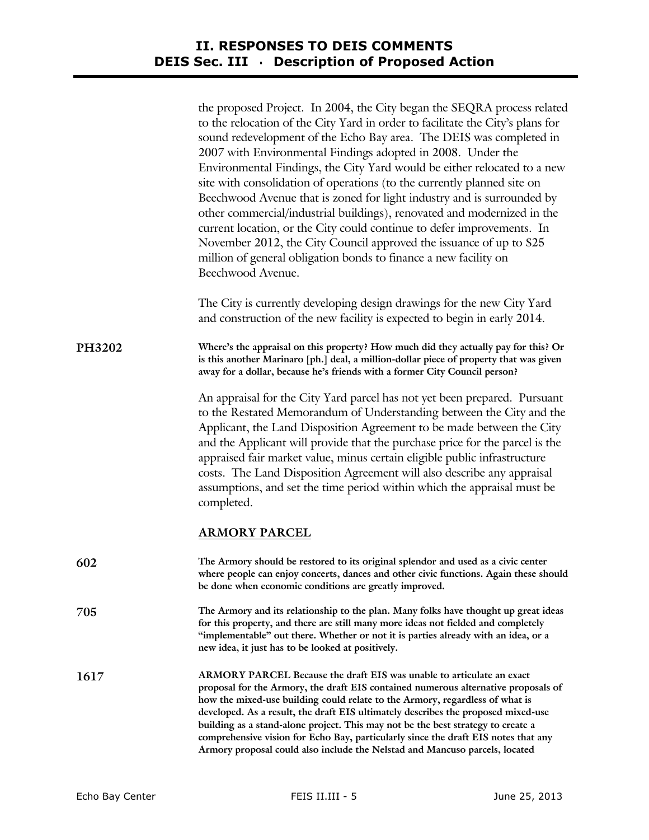|               | the proposed Project. In 2004, the City began the SEQRA process related<br>to the relocation of the City Yard in order to facilitate the City's plans for<br>sound redevelopment of the Echo Bay area. The DEIS was completed in<br>2007 with Environmental Findings adopted in 2008. Under the<br>Environmental Findings, the City Yard would be either relocated to a new<br>site with consolidation of operations (to the currently planned site on<br>Beechwood Avenue that is zoned for light industry and is surrounded by<br>other commercial/industrial buildings), renovated and modernized in the<br>current location, or the City could continue to defer improvements. In<br>November 2012, the City Council approved the issuance of up to \$25<br>million of general obligation bonds to finance a new facility on<br>Beechwood Avenue. |
|---------------|-------------------------------------------------------------------------------------------------------------------------------------------------------------------------------------------------------------------------------------------------------------------------------------------------------------------------------------------------------------------------------------------------------------------------------------------------------------------------------------------------------------------------------------------------------------------------------------------------------------------------------------------------------------------------------------------------------------------------------------------------------------------------------------------------------------------------------------------------------|
|               | The City is currently developing design drawings for the new City Yard<br>and construction of the new facility is expected to begin in early 2014.                                                                                                                                                                                                                                                                                                                                                                                                                                                                                                                                                                                                                                                                                                    |
| <b>PH3202</b> | Where's the appraisal on this property? How much did they actually pay for this? Or<br>is this another Marinaro [ph.] deal, a million-dollar piece of property that was given<br>away for a dollar, because he's friends with a former City Council person?                                                                                                                                                                                                                                                                                                                                                                                                                                                                                                                                                                                           |
|               | An appraisal for the City Yard parcel has not yet been prepared. Pursuant<br>to the Restated Memorandum of Understanding between the City and the<br>Applicant, the Land Disposition Agreement to be made between the City<br>and the Applicant will provide that the purchase price for the parcel is the<br>appraised fair market value, minus certain eligible public infrastructure<br>costs. The Land Disposition Agreement will also describe any appraisal<br>assumptions, and set the time period within which the appraisal must be<br>completed.                                                                                                                                                                                                                                                                                            |
|               | <b>ARMORY PARCEL</b>                                                                                                                                                                                                                                                                                                                                                                                                                                                                                                                                                                                                                                                                                                                                                                                                                                  |
| 602           | The Armory should be restored to its original splendor and used as a civic center<br>where people can enjoy concerts, dances and other civic functions. Again these should<br>be done when economic conditions are greatly improved.                                                                                                                                                                                                                                                                                                                                                                                                                                                                                                                                                                                                                  |
| 705           | The Armory and its relationship to the plan. Many folks have thought up great ideas<br>for this property, and there are still many more ideas not fielded and completely<br>"implementable" out there. Whether or not it is parties already with an idea, or a<br>new idea, it just has to be looked at positively.                                                                                                                                                                                                                                                                                                                                                                                                                                                                                                                                   |
| 1617          | ARMORY PARCEL Because the draft EIS was unable to articulate an exact<br>proposal for the Armory, the draft EIS contained numerous alternative proposals of<br>how the mixed-use building could relate to the Armory, regardless of what is<br>developed. As a result, the draft EIS ultimately describes the proposed mixed-use<br>building as a stand-alone project. This may not be the best strategy to create a<br>comprehensive vision for Echo Bay, particularly since the draft EIS notes that any<br>Armory proposal could also include the Nelstad and Mancuso parcels, located                                                                                                                                                                                                                                                             |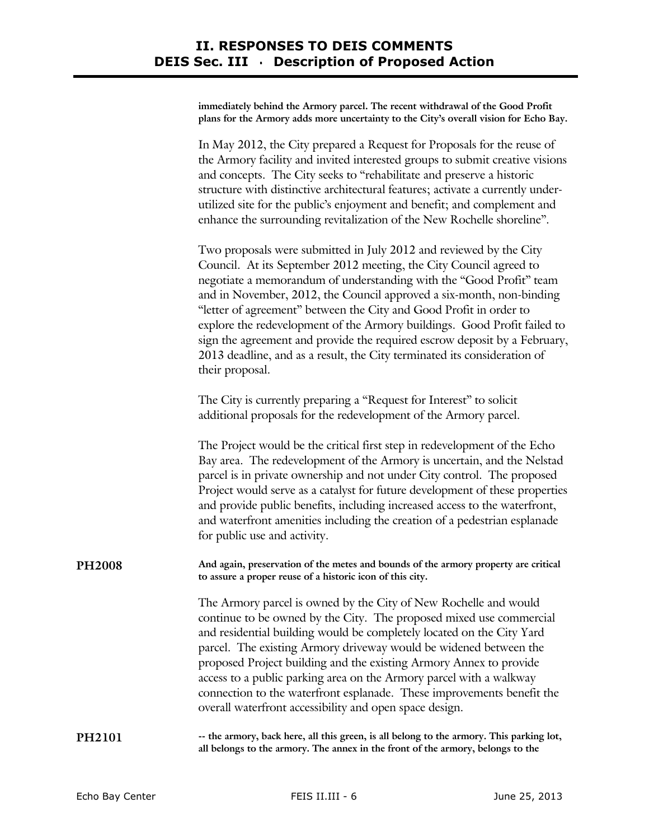**immediately behind the Armory parcel. The recent withdrawal of the Good Profit plans for the Armory adds more uncertainty to the City's overall vision for Echo Bay.** 

In May 2012, the City prepared a Request for Proposals for the reuse of the Armory facility and invited interested groups to submit creative visions and concepts. The City seeks to "rehabilitate and preserve a historic structure with distinctive architectural features; activate a currently underutilized site for the public's enjoyment and benefit; and complement and enhance the surrounding revitalization of the New Rochelle shoreline".

Two proposals were submitted in July 2012 and reviewed by the City Council. At its September 2012 meeting, the City Council agreed to negotiate a memorandum of understanding with the "Good Profit" team and in November, 2012, the Council approved a six-month, non-binding "letter of agreement" between the City and Good Profit in order to explore the redevelopment of the Armory buildings. Good Profit failed to sign the agreement and provide the required escrow deposit by a February, 2013 deadline, and as a result, the City terminated its consideration of their proposal.

The City is currently preparing a "Request for Interest" to solicit additional proposals for the redevelopment of the Armory parcel.

The Project would be the critical first step in redevelopment of the Echo Bay area. The redevelopment of the Armory is uncertain, and the Nelstad parcel is in private ownership and not under City control. The proposed Project would serve as a catalyst for future development of these properties and provide public benefits, including increased access to the waterfront, and waterfront amenities including the creation of a pedestrian esplanade for public use and activity.

**PH2008 And again, preservation of the metes and bounds of the armory property are critical to assure a proper reuse of a historic icon of this city.** 

> The Armory parcel is owned by the City of New Rochelle and would continue to be owned by the City. The proposed mixed use commercial and residential building would be completely located on the City Yard parcel. The existing Armory driveway would be widened between the proposed Project building and the existing Armory Annex to provide access to a public parking area on the Armory parcel with a walkway connection to the waterfront esplanade. These improvements benefit the overall waterfront accessibility and open space design.

**PH2101 -- the armory, back here, all this green, is all belong to the armory. This parking lot, all belongs to the armory. The annex in the front of the armory, belongs to the**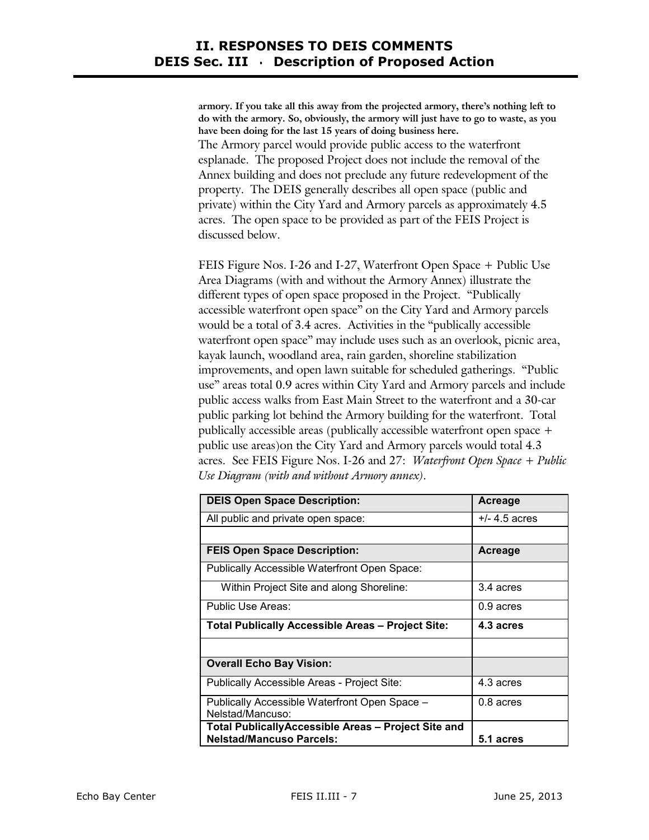**armory. If you take all this away from the projected armory, there's nothing left to do with the armory. So, obviously, the armory will just have to go to waste, as you have been doing for the last 15 years of doing business here.**  The Armory parcel would provide public access to the waterfront esplanade. The proposed Project does not include the removal of the Annex building and does not preclude any future redevelopment of the property. The DEIS generally describes all open space (public and private) within the City Yard and Armory parcels as approximately 4.5 acres. The open space to be provided as part of the FEIS Project is discussed below.

FEIS Figure Nos. I-26 and I-27, Waterfront Open Space + Public Use Area Diagrams (with and without the Armory Annex) illustrate the different types of open space proposed in the Project. "Publically accessible waterfront open space" on the City Yard and Armory parcels would be a total of 3.4 acres. Activities in the "publically accessible waterfront open space" may include uses such as an overlook, picnic area, kayak launch, woodland area, rain garden, shoreline stabilization improvements, and open lawn suitable for scheduled gatherings. "Public use" areas total 0.9 acres within City Yard and Armory parcels and include public access walks from East Main Street to the waterfront and a 30-car public parking lot behind the Armory building for the waterfront. Total publically accessible areas (publically accessible waterfront open space + public use areas)on the City Yard and Armory parcels would total 4.3 acres. See FEIS Figure Nos. I-26 and 27: *Waterfront Open Space + Public Use Diagram (with and without Armory annex).* 

| <b>DEIS Open Space Description:</b>                                                    | Acreage       |
|----------------------------------------------------------------------------------------|---------------|
| All public and private open space:                                                     | +/- 4.5 acres |
|                                                                                        |               |
| <b>FEIS Open Space Description:</b>                                                    | Acreage       |
| <b>Publically Accessible Waterfront Open Space:</b>                                    |               |
| Within Project Site and along Shoreline:                                               | 3.4 acres     |
| Public Use Areas:                                                                      | $0.9$ acres   |
| <b>Total Publically Accessible Areas - Project Site:</b>                               | 4.3 acres     |
|                                                                                        |               |
| <b>Overall Echo Bay Vision:</b>                                                        |               |
| Publically Accessible Areas - Project Site:                                            | 4.3 acres     |
| Publically Accessible Waterfront Open Space -<br>Nelstad/Mancuso:                      | 0.8 acres     |
| Total PublicallyAccessible Areas - Project Site and<br><b>Nelstad/Mancuso Parcels:</b> | 5.1 acres     |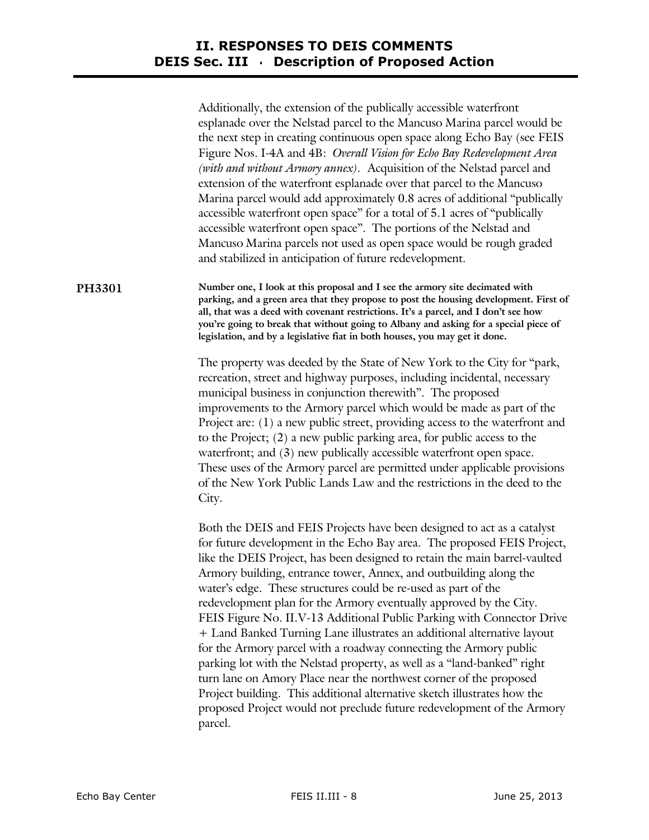Additionally, the extension of the publically accessible waterfront esplanade over the Nelstad parcel to the Mancuso Marina parcel would be the next step in creating continuous open space along Echo Bay (see FEIS Figure Nos. I-4A and 4B: *Overall Vision for Echo Bay Redevelopment Area (with and without Armory annex).* Acquisition of the Nelstad parcel and extension of the waterfront esplanade over that parcel to the Mancuso Marina parcel would add approximately 0.8 acres of additional "publically accessible waterfront open space" for a total of 5.1 acres of "publically accessible waterfront open space". The portions of the Nelstad and Mancuso Marina parcels not used as open space would be rough graded and stabilized in anticipation of future redevelopment.

**PH3301 Number one, I look at this proposal and I see the armory site decimated with parking, and a green area that they propose to post the housing development. First of all, that was a deed with covenant restrictions. It's a parcel, and I don't see how you're going to break that without going to Albany and asking for a special piece of legislation, and by a legislative fiat in both houses, you may get it done.** 

> The property was deeded by the State of New York to the City for "park, recreation, street and highway purposes, including incidental, necessary municipal business in conjunction therewith". The proposed improvements to the Armory parcel which would be made as part of the Project are: (1) a new public street, providing access to the waterfront and to the Project; (2) a new public parking area, for public access to the waterfront; and (3) new publically accessible waterfront open space. These uses of the Armory parcel are permitted under applicable provisions of the New York Public Lands Law and the restrictions in the deed to the City.

> Both the DEIS and FEIS Projects have been designed to act as a catalyst for future development in the Echo Bay area. The proposed FEIS Project, like the DEIS Project, has been designed to retain the main barrel-vaulted Armory building, entrance tower, Annex, and outbuilding along the water's edge. These structures could be re-used as part of the redevelopment plan for the Armory eventually approved by the City. FEIS Figure No. II.V-13 Additional Public Parking with Connector Drive + Land Banked Turning Lane illustrates an additional alternative layout for the Armory parcel with a roadway connecting the Armory public parking lot with the Nelstad property, as well as a "land-banked" right turn lane on Amory Place near the northwest corner of the proposed Project building. This additional alternative sketch illustrates how the proposed Project would not preclude future redevelopment of the Armory parcel.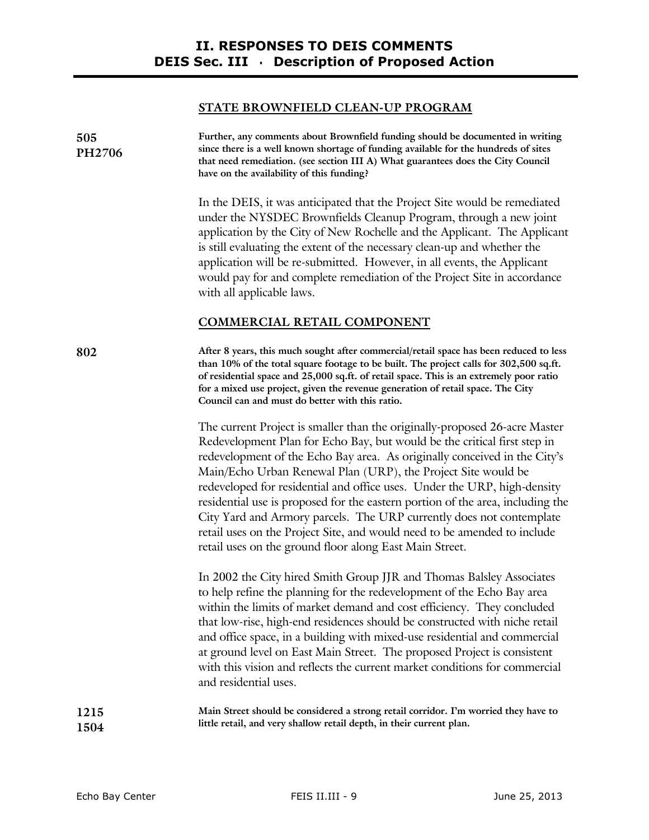#### **STATE BROWNFIELD CLEAN-UP PROGRAM**

**505 PH2706 Further, any comments about Brownfield funding should be documented in writing since there is a well known shortage of funding available for the hundreds of sites that need remediation. (see section III A) What guarantees does the City Council have on the availability of this funding?**  In the DEIS, it was anticipated that the Project Site would be remediated under the NYSDEC Brownfields Cleanup Program, through a new joint application by the City of New Rochelle and the Applicant. The Applicant is still evaluating the extent of the necessary clean-up and whether the application will be re-submitted. However, in all events, the Applicant would pay for and complete remediation of the Project Site in accordance with all applicable laws. **COMMERCIAL RETAIL COMPONENT 802 After 8 years, this much sought after commercial/retail space has been reduced to less than 10% of the total square footage to be built. The project calls for 302,500 sq.ft. of residential space and 25,000 sq.ft. of retail space. This is an extremely poor ratio for a mixed use project, given the revenue generation of retail space. The City Council can and must do better with this ratio.**  The current Project is smaller than the originally-proposed 26-acre Master Redevelopment Plan for Echo Bay, but would be the critical first step in redevelopment of the Echo Bay area. As originally conceived in the City's Main/Echo Urban Renewal Plan (URP), the Project Site would be redeveloped for residential and office uses. Under the URP, high-density residential use is proposed for the eastern portion of the area, including the City Yard and Armory parcels. The URP currently does not contemplate retail uses on the Project Site, and would need to be amended to include retail uses on the ground floor along East Main Street. In 2002 the City hired Smith Group JJR and Thomas Balsley Associates to help refine the planning for the redevelopment of the Echo Bay area within the limits of market demand and cost efficiency. They concluded that low-rise, high-end residences should be constructed with niche retail and office space, in a building with mixed-use residential and commercial at ground level on East Main Street. The proposed Project is consistent with this vision and reflects the current market conditions for commercial and residential uses. **1215 1504 Main Street should be considered a strong retail corridor. I'm worried they have to little retail, and very shallow retail depth, in their current plan.**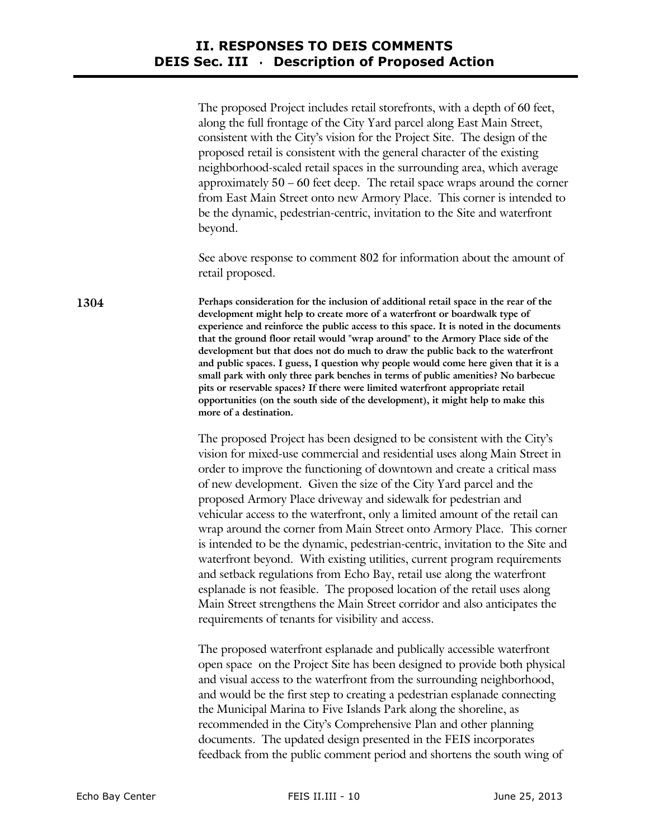The proposed Project includes retail storefronts, with a depth of 60 feet, along the full frontage of the City Yard parcel along East Main Street, consistent with the City's vision for the Project Site. The design of the proposed retail is consistent with the general character of the existing neighborhood-scaled retail spaces in the surrounding area, which average approximately 50 – 60 feet deep.The retail space wraps around the corner from East Main Street onto new Armory Place. This corner is intended to be the dynamic, pedestrian-centric, invitation to the Site and waterfront beyond.

See above response to comment 802 for information about the amount of retail proposed.

**1304 Perhaps consideration for the inclusion of additional retail space in the rear of the development might help to create more of a waterfront or boardwalk type of experience and reinforce the public access to this space. It is noted in the documents that the ground floor retail would "wrap around" to the Armory Place side of the development but that does not do much to draw the public back to the waterfront and public spaces. I guess, I question why people would come here given that it is a small park with only three park benches in terms of public amenities? No barbecue pits or reservable spaces? If there were limited waterfront appropriate retail opportunities (on the south side of the development), it might help to make this more of a destination.** 

> The proposed Project has been designed to be consistent with the City's vision for mixed-use commercial and residential uses along Main Street in order to improve the functioning of downtown and create a critical mass of new development. Given the size of the City Yard parcel and the proposed Armory Place driveway and sidewalk for pedestrian and vehicular access to the waterfront, only a limited amount of the retail can wrap around the corner from Main Street onto Armory Place. This corner is intended to be the dynamic, pedestrian-centric, invitation to the Site and waterfront beyond. With existing utilities, current program requirements and setback regulations from Echo Bay, retail use along the waterfront esplanade is not feasible. The proposed location of the retail uses along Main Street strengthens the Main Street corridor and also anticipates the requirements of tenants for visibility and access.

> The proposed waterfront esplanade and publically accessible waterfront open space on the Project Site has been designed to provide both physical and visual access to the waterfront from the surrounding neighborhood, and would be the first step to creating a pedestrian esplanade connecting the Municipal Marina to Five Islands Park along the shoreline, as recommended in the City's Comprehensive Plan and other planning documents. The updated design presented in the FEIS incorporates feedback from the public comment period and shortens the south wing of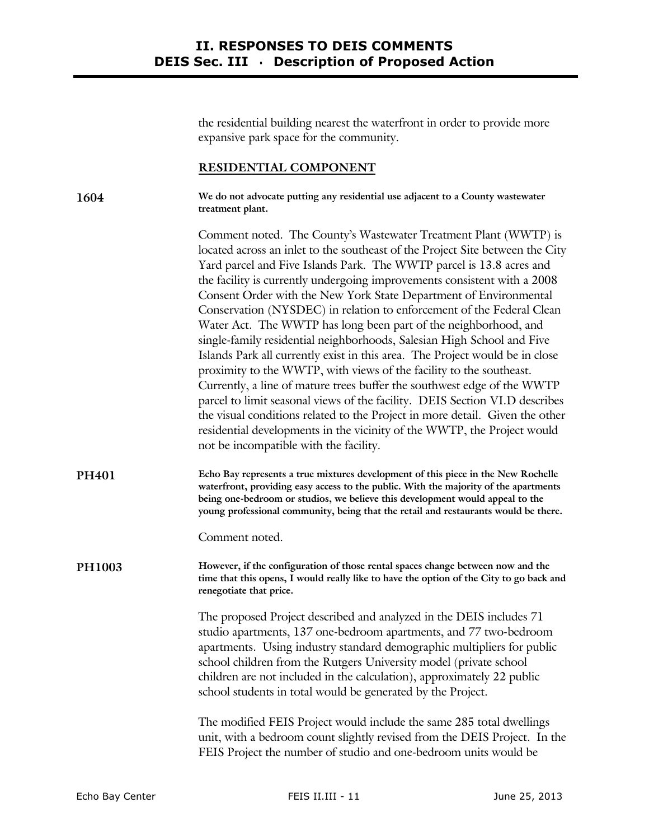the residential building nearest the waterfront in order to provide more expansive park space for the community.

#### **RESIDENTIAL COMPONENT**

| 1604 | We do not advocate putting any residential use adjacent to a County wastewater |
|------|--------------------------------------------------------------------------------|
|      | treatment plant.                                                               |

Comment noted. The County's Wastewater Treatment Plant (WWTP) is located across an inlet to the southeast of the Project Site between the City Yard parcel and Five Islands Park. The WWTP parcel is 13.8 acres and the facility is currently undergoing improvements consistent with a 2008 Consent Order with the New York State Department of Environmental Conservation (NYSDEC) in relation to enforcement of the Federal Clean Water Act. The WWTP has long been part of the neighborhood, and single-family residential neighborhoods, Salesian High School and Five Islands Park all currently exist in this area. The Project would be in close proximity to the WWTP, with views of the facility to the southeast. Currently, a line of mature trees buffer the southwest edge of the WWTP parcel to limit seasonal views of the facility. DEIS Section VI.D describes the visual conditions related to the Project in more detail. Given the other residential developments in the vicinity of the WWTP, the Project would not be incompatible with the facility.

**PH401 Echo Bay represents a true mixtures development of this piece in the New Rochelle waterfront, providing easy access to the public. With the majority of the apartments being one-bedroom or studios, we believe this development would appeal to the young professional community, being that the retail and restaurants would be there.** 

Comment noted.

**PH1003 However, if the configuration of those rental spaces change between now and the time that this opens, I would really like to have the option of the City to go back and renegotiate that price.** 

> The proposed Project described and analyzed in the DEIS includes 71 studio apartments, 137 one-bedroom apartments, and 77 two-bedroom apartments. Using industry standard demographic multipliers for public school children from the Rutgers University model (private school children are not included in the calculation), approximately 22 public school students in total would be generated by the Project.

The modified FEIS Project would include the same 285 total dwellings unit, with a bedroom count slightly revised from the DEIS Project. In the FEIS Project the number of studio and one-bedroom units would be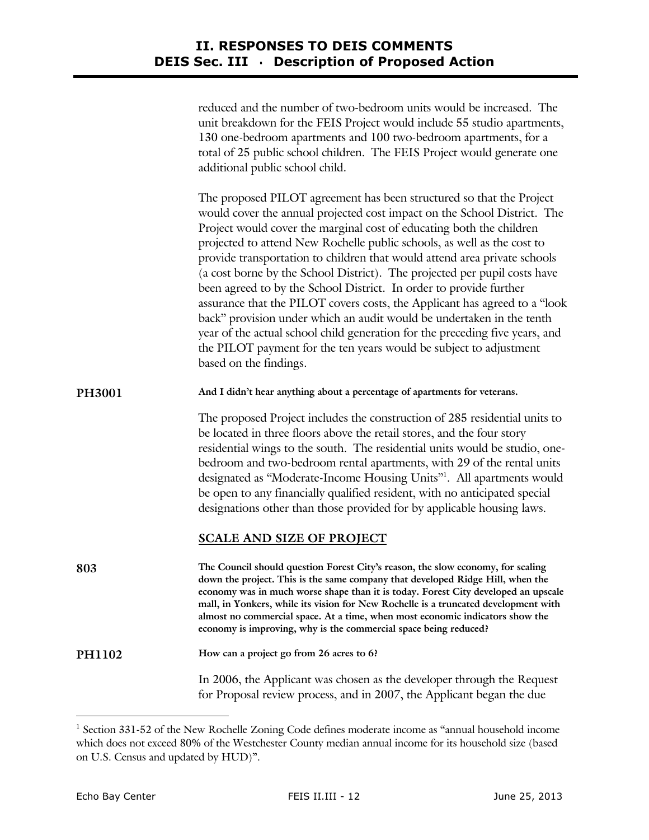|               | reduced and the number of two-bedroom units would be increased. The<br>unit breakdown for the FEIS Project would include 55 studio apartments,<br>130 one-bedroom apartments and 100 two-bedroom apartments, for a<br>total of 25 public school children. The FEIS Project would generate one<br>additional public school child.                                                                                                                                                                                                                                                                                                                                                                                                                                                                                                                                           |
|---------------|----------------------------------------------------------------------------------------------------------------------------------------------------------------------------------------------------------------------------------------------------------------------------------------------------------------------------------------------------------------------------------------------------------------------------------------------------------------------------------------------------------------------------------------------------------------------------------------------------------------------------------------------------------------------------------------------------------------------------------------------------------------------------------------------------------------------------------------------------------------------------|
|               | The proposed PILOT agreement has been structured so that the Project<br>would cover the annual projected cost impact on the School District. The<br>Project would cover the marginal cost of educating both the children<br>projected to attend New Rochelle public schools, as well as the cost to<br>provide transportation to children that would attend area private schools<br>(a cost borne by the School District). The projected per pupil costs have<br>been agreed to by the School District. In order to provide further<br>assurance that the PILOT covers costs, the Applicant has agreed to a "look<br>back" provision under which an audit would be undertaken in the tenth<br>year of the actual school child generation for the preceding five years, and<br>the PILOT payment for the ten years would be subject to adjustment<br>based on the findings. |
| <b>PH3001</b> | And I didn't hear anything about a percentage of apartments for veterans.                                                                                                                                                                                                                                                                                                                                                                                                                                                                                                                                                                                                                                                                                                                                                                                                  |
|               | The proposed Project includes the construction of 285 residential units to<br>be located in three floors above the retail stores, and the four story<br>residential wings to the south. The residential units would be studio, one-<br>bedroom and two-bedroom rental apartments, with 29 of the rental units<br>designated as "Moderate-Income Housing Units" <sup>1</sup> . All apartments would<br>be open to any financially qualified resident, with no anticipated special<br>designations other than those provided for by applicable housing laws.                                                                                                                                                                                                                                                                                                                 |
|               | <b>SCALE AND SIZE OF PROJECT</b>                                                                                                                                                                                                                                                                                                                                                                                                                                                                                                                                                                                                                                                                                                                                                                                                                                           |
| 803           | The Council should question Forest City's reason, the slow economy, for scaling<br>down the project. This is the same company that developed Ridge Hill, when the<br>economy was in much worse shape than it is today. Forest City developed an upscale<br>mall, in Yonkers, while its vision for New Rochelle is a truncated development with<br>almost no commercial space. At a time, when most economic indicators show the<br>economy is improving, why is the commercial space being reduced?                                                                                                                                                                                                                                                                                                                                                                        |
| <b>PH1102</b> | How can a project go from 26 acres to 6?                                                                                                                                                                                                                                                                                                                                                                                                                                                                                                                                                                                                                                                                                                                                                                                                                                   |
|               | In 2006, the Applicant was chosen as the developer through the Request<br>for Proposal review process, and in 2007, the Applicant began the due                                                                                                                                                                                                                                                                                                                                                                                                                                                                                                                                                                                                                                                                                                                            |

<sup>&</sup>lt;sup>1</sup> Section 331-52 of the New Rochelle Zoning Code defines moderate income as "annual household income which does not exceed 80% of the Westchester County median annual income for its household size (based on U.S. Census and updated by HUD)".

-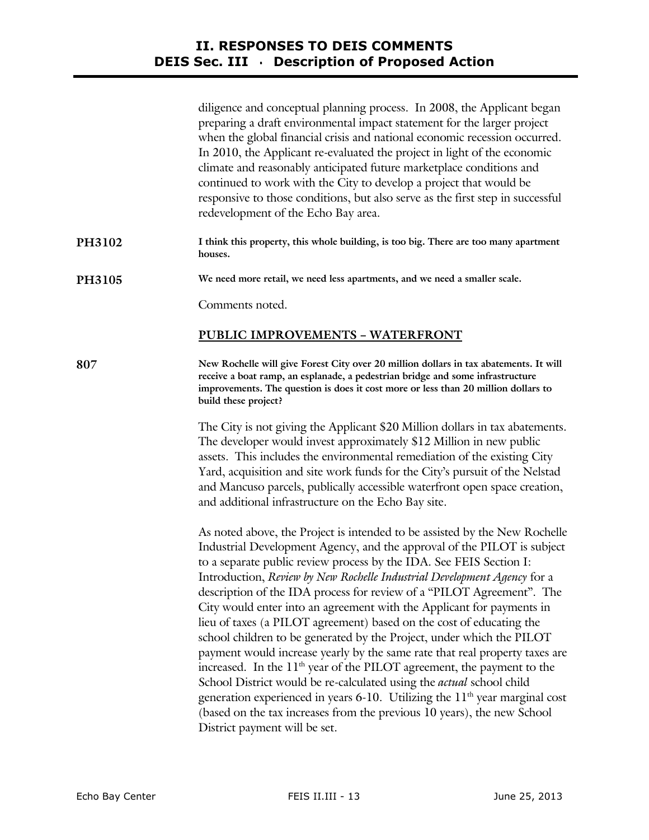|        | diligence and conceptual planning process. In 2008, the Applicant began<br>preparing a draft environmental impact statement for the larger project<br>when the global financial crisis and national economic recession occurred.<br>In 2010, the Applicant re-evaluated the project in light of the economic<br>climate and reasonably anticipated future marketplace conditions and<br>continued to work with the City to develop a project that would be<br>responsive to those conditions, but also serve as the first step in successful<br>redevelopment of the Echo Bay area.                                                                                                                                                                                                                                                                                                                                                                                                                                                                      |
|--------|----------------------------------------------------------------------------------------------------------------------------------------------------------------------------------------------------------------------------------------------------------------------------------------------------------------------------------------------------------------------------------------------------------------------------------------------------------------------------------------------------------------------------------------------------------------------------------------------------------------------------------------------------------------------------------------------------------------------------------------------------------------------------------------------------------------------------------------------------------------------------------------------------------------------------------------------------------------------------------------------------------------------------------------------------------|
| PH3102 | I think this property, this whole building, is too big. There are too many apartment<br>houses.                                                                                                                                                                                                                                                                                                                                                                                                                                                                                                                                                                                                                                                                                                                                                                                                                                                                                                                                                          |
| PH3105 | We need more retail, we need less apartments, and we need a smaller scale.                                                                                                                                                                                                                                                                                                                                                                                                                                                                                                                                                                                                                                                                                                                                                                                                                                                                                                                                                                               |
|        | Comments noted.                                                                                                                                                                                                                                                                                                                                                                                                                                                                                                                                                                                                                                                                                                                                                                                                                                                                                                                                                                                                                                          |
|        | PUBLIC IMPROVEMENTS - WATERFRONT                                                                                                                                                                                                                                                                                                                                                                                                                                                                                                                                                                                                                                                                                                                                                                                                                                                                                                                                                                                                                         |
| 807    | New Rochelle will give Forest City over 20 million dollars in tax abatements. It will<br>receive a boat ramp, an esplanade, a pedestrian bridge and some infrastructure<br>improvements. The question is does it cost more or less than 20 million dollars to<br>build these project?                                                                                                                                                                                                                                                                                                                                                                                                                                                                                                                                                                                                                                                                                                                                                                    |
|        | The City is not giving the Applicant \$20 Million dollars in tax abatements.<br>The developer would invest approximately \$12 Million in new public<br>assets. This includes the environmental remediation of the existing City<br>Yard, acquisition and site work funds for the City's pursuit of the Nelstad<br>and Mancuso parcels, publically accessible waterfront open space creation,<br>and additional infrastructure on the Echo Bay site.                                                                                                                                                                                                                                                                                                                                                                                                                                                                                                                                                                                                      |
|        | As noted above, the Project is intended to be assisted by the New Rochelle<br>Industrial Development Agency, and the approval of the PILOT is subject<br>to a separate public review process by the IDA. See FEIS Section I:<br>Introduction, Review by New Rochelle Industrial Development Agency for a<br>description of the IDA process for review of a "PILOT Agreement". The<br>City would enter into an agreement with the Applicant for payments in<br>lieu of taxes (a PILOT agreement) based on the cost of educating the<br>school children to be generated by the Project, under which the PILOT<br>payment would increase yearly by the same rate that real property taxes are<br>increased. In the 11 <sup>th</sup> year of the PILOT agreement, the payment to the<br>School District would be re-calculated using the actual school child<br>generation experienced in years $6-10$ . Utilizing the $11th$ year marginal cost<br>(based on the tax increases from the previous 10 years), the new School<br>District payment will be set. |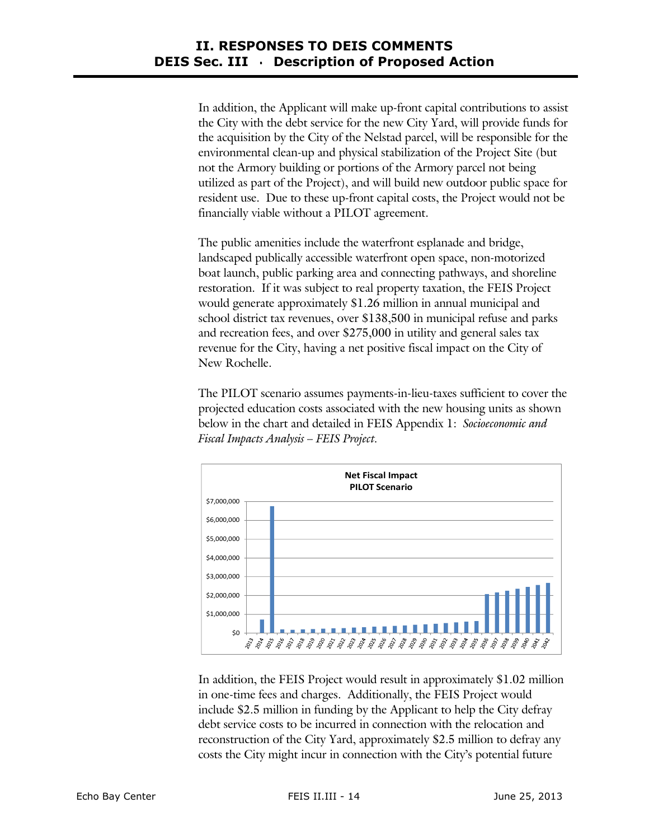In addition, the Applicant will make up-front capital contributions to assist the City with the debt service for the new City Yard, will provide funds for the acquisition by the City of the Nelstad parcel, will be responsible for the environmental clean-up and physical stabilization of the Project Site (but not the Armory building or portions of the Armory parcel not being utilized as part of the Project), and will build new outdoor public space for resident use. Due to these up-front capital costs, the Project would not be financially viable without a PILOT agreement.

The public amenities include the waterfront esplanade and bridge, landscaped publically accessible waterfront open space, non-motorized boat launch, public parking area and connecting pathways, and shoreline restoration. If it was subject to real property taxation, the FEIS Project would generate approximately \$1.26 million in annual municipal and school district tax revenues, over \$138,500 in municipal refuse and parks and recreation fees, and over \$275,000 in utility and general sales tax revenue for the City, having a net positive fiscal impact on the City of New Rochelle.

The PILOT scenario assumes payments-in-lieu-taxes sufficient to cover the projected education costs associated with the new housing units as shown below in the chart and detailed in FEIS Appendix 1: *Socioeconomic and Fiscal Impacts Analysis – FEIS Project.* 



In addition, the FEIS Project would result in approximately \$1.02 million in one-time fees and charges. Additionally, the FEIS Project would include \$2.5 million in funding by the Applicant to help the City defray debt service costs to be incurred in connection with the relocation and reconstruction of the City Yard, approximately \$2.5 million to defray any costs the City might incur in connection with the City's potential future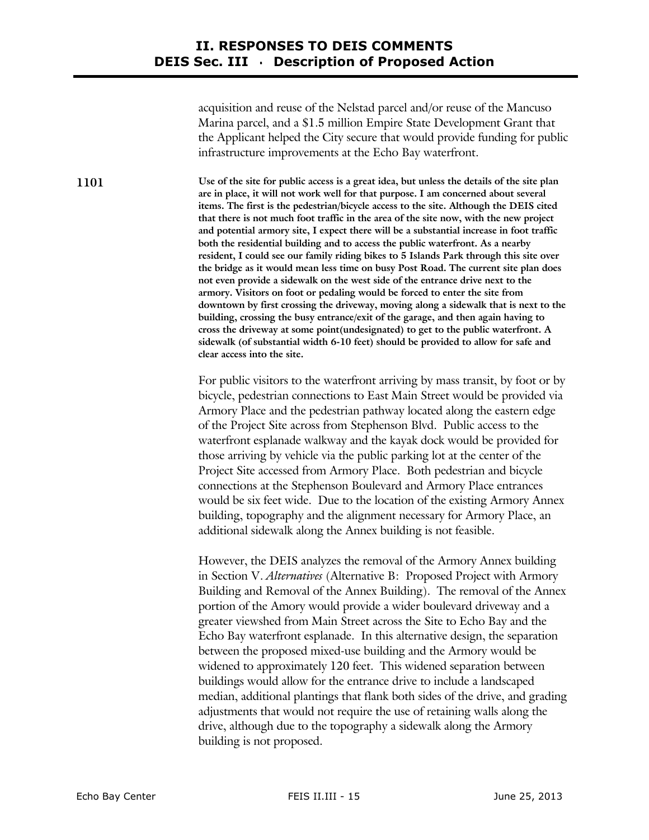acquisition and reuse of the Nelstad parcel and/or reuse of the Mancuso Marina parcel, and a \$1.5 million Empire State Development Grant that the Applicant helped the City secure that would provide funding for public infrastructure improvements at the Echo Bay waterfront.

**1101 Use of the site for public access is a great idea, but unless the details of the site plan are in place, it will not work well for that purpose. I am concerned about several items. The first is the pedestrian/bicycle access to the site. Although the DEIS cited that there is not much foot traffic in the area of the site now, with the new project and potential armory site, I expect there will be a substantial increase in foot traffic both the residential building and to access the public waterfront. As a nearby resident, I could see our family riding bikes to 5 Islands Park through this site over the bridge as it would mean less time on busy Post Road. The current site plan does not even provide a sidewalk on the west side of the entrance drive next to the armory. Visitors on foot or pedaling would be forced to enter the site from downtown by first crossing the driveway, moving along a sidewalk that is next to the building, crossing the busy entrance/exit of the garage, and then again having to cross the driveway at some point(undesignated) to get to the public waterfront. A sidewalk (of substantial width 6-10 feet) should be provided to allow for safe and clear access into the site.** 

> For public visitors to the waterfront arriving by mass transit, by foot or by bicycle, pedestrian connections to East Main Street would be provided via Armory Place and the pedestrian pathway located along the eastern edge of the Project Site across from Stephenson Blvd. Public access to the waterfront esplanade walkway and the kayak dock would be provided for those arriving by vehicle via the public parking lot at the center of the Project Site accessed from Armory Place. Both pedestrian and bicycle connections at the Stephenson Boulevard and Armory Place entrances would be six feet wide. Due to the location of the existing Armory Annex building, topography and the alignment necessary for Armory Place, an additional sidewalk along the Annex building is not feasible.

> However, the DEIS analyzes the removal of the Armory Annex building in Section V. *Alternatives* (Alternative B: Proposed Project with Armory Building and Removal of the Annex Building). The removal of the Annex portion of the Amory would provide a wider boulevard driveway and a greater viewshed from Main Street across the Site to Echo Bay and the Echo Bay waterfront esplanade. In this alternative design, the separation between the proposed mixed-use building and the Armory would be widened to approximately 120 feet. This widened separation between buildings would allow for the entrance drive to include a landscaped median, additional plantings that flank both sides of the drive, and grading adjustments that would not require the use of retaining walls along the drive, although due to the topography a sidewalk along the Armory building is not proposed.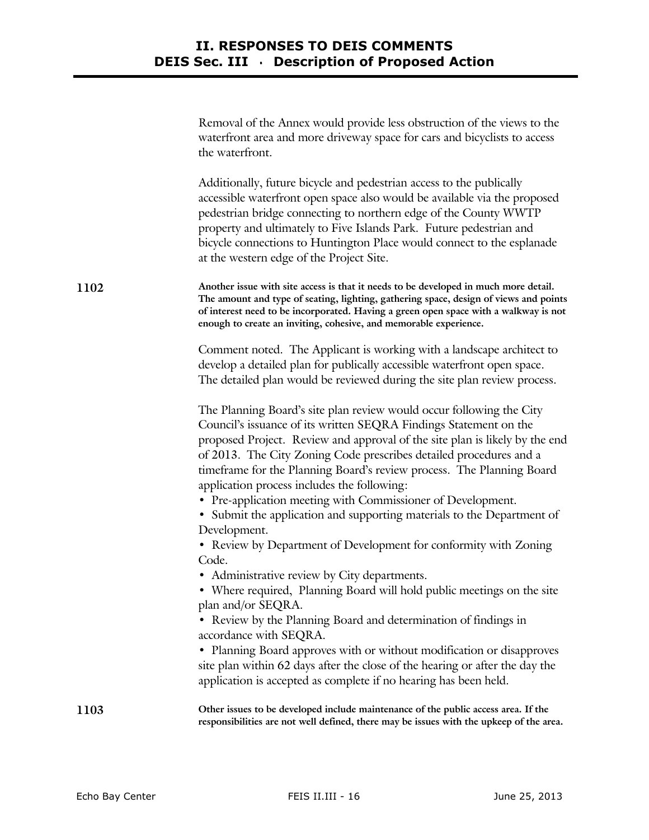|      | Removal of the Annex would provide less obstruction of the views to the<br>waterfront area and more driveway space for cars and bicyclists to access<br>the waterfront.                                                                                                                                                                                                                                                |
|------|------------------------------------------------------------------------------------------------------------------------------------------------------------------------------------------------------------------------------------------------------------------------------------------------------------------------------------------------------------------------------------------------------------------------|
|      | Additionally, future bicycle and pedestrian access to the publically<br>accessible waterfront open space also would be available via the proposed<br>pedestrian bridge connecting to northern edge of the County WWTP<br>property and ultimately to Five Islands Park. Future pedestrian and<br>bicycle connections to Huntington Place would connect to the esplanade<br>at the western edge of the Project Site.     |
| 1102 | Another issue with site access is that it needs to be developed in much more detail.<br>The amount and type of seating, lighting, gathering space, design of views and points<br>of interest need to be incorporated. Having a green open space with a walkway is not<br>enough to create an inviting, cohesive, and memorable experience.                                                                             |
|      | Comment noted. The Applicant is working with a landscape architect to<br>develop a detailed plan for publically accessible waterfront open space.<br>The detailed plan would be reviewed during the site plan review process.                                                                                                                                                                                          |
|      | The Planning Board's site plan review would occur following the City<br>Council's issuance of its written SEQRA Findings Statement on the<br>proposed Project. Review and approval of the site plan is likely by the end<br>of 2013. The City Zoning Code prescribes detailed procedures and a<br>timeframe for the Planning Board's review process. The Planning Board<br>application process includes the following: |
|      | • Pre-application meeting with Commissioner of Development.<br>• Submit the application and supporting materials to the Department of<br>Development.                                                                                                                                                                                                                                                                  |
|      | • Review by Department of Development for conformity with Zoning<br>Code.                                                                                                                                                                                                                                                                                                                                              |
|      | • Administrative review by City departments.<br>• Where required, Planning Board will hold public meetings on the site<br>plan and/or SEQRA.                                                                                                                                                                                                                                                                           |
|      | • Review by the Planning Board and determination of findings in<br>accordance with SEQRA.                                                                                                                                                                                                                                                                                                                              |
|      | • Planning Board approves with or without modification or disapproves<br>site plan within 62 days after the close of the hearing or after the day the<br>application is accepted as complete if no hearing has been held.                                                                                                                                                                                              |
| 1103 | Other issues to be developed include maintenance of the public access area. If the<br>responsibilities are not well defined, there may be issues with the upkeep of the area.                                                                                                                                                                                                                                          |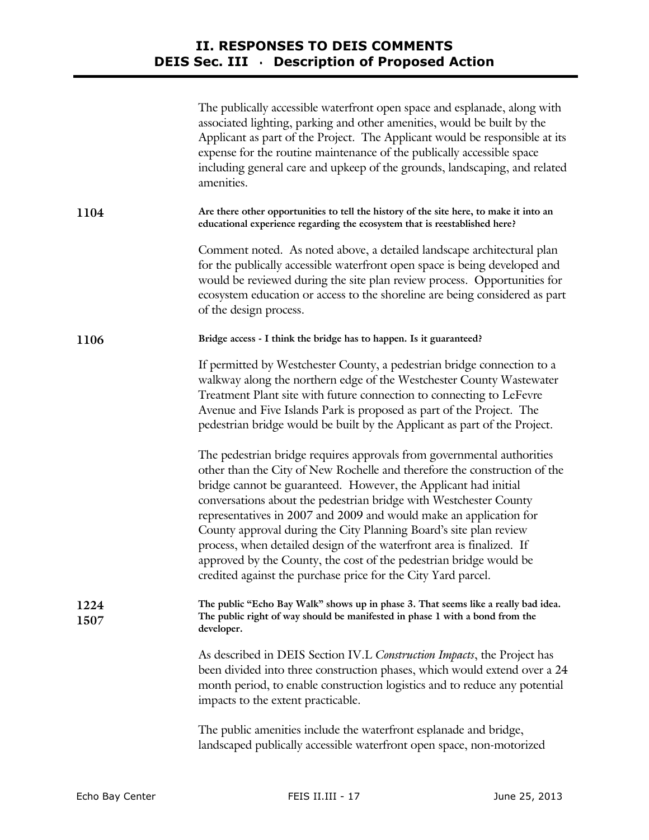|              | The publically accessible waterfront open space and esplanade, along with<br>associated lighting, parking and other amenities, would be built by the<br>Applicant as part of the Project. The Applicant would be responsible at its<br>expense for the routine maintenance of the publically accessible space<br>including general care and upkeep of the grounds, landscaping, and related<br>amenities.                                                                                                                                                                                                                                              |
|--------------|--------------------------------------------------------------------------------------------------------------------------------------------------------------------------------------------------------------------------------------------------------------------------------------------------------------------------------------------------------------------------------------------------------------------------------------------------------------------------------------------------------------------------------------------------------------------------------------------------------------------------------------------------------|
| 1104         | Are there other opportunities to tell the history of the site here, to make it into an<br>educational experience regarding the ecosystem that is reestablished here?                                                                                                                                                                                                                                                                                                                                                                                                                                                                                   |
|              | Comment noted. As noted above, a detailed landscape architectural plan<br>for the publically accessible waterfront open space is being developed and<br>would be reviewed during the site plan review process. Opportunities for<br>ecosystem education or access to the shoreline are being considered as part<br>of the design process.                                                                                                                                                                                                                                                                                                              |
| 1106         | Bridge access - I think the bridge has to happen. Is it guaranteed?                                                                                                                                                                                                                                                                                                                                                                                                                                                                                                                                                                                    |
|              | If permitted by Westchester County, a pedestrian bridge connection to a<br>walkway along the northern edge of the Westchester County Wastewater<br>Treatment Plant site with future connection to connecting to LeFevre<br>Avenue and Five Islands Park is proposed as part of the Project. The<br>pedestrian bridge would be built by the Applicant as part of the Project.                                                                                                                                                                                                                                                                           |
|              | The pedestrian bridge requires approvals from governmental authorities<br>other than the City of New Rochelle and therefore the construction of the<br>bridge cannot be guaranteed. However, the Applicant had initial<br>conversations about the pedestrian bridge with Westchester County<br>representatives in 2007 and 2009 and would make an application for<br>County approval during the City Planning Board's site plan review<br>process, when detailed design of the waterfront area is finalized. If<br>approved by the County, the cost of the pedestrian bridge would be<br>credited against the purchase price for the City Yard parcel. |
| 1224<br>1507 | The public "Echo Bay Walk" shows up in phase 3. That seems like a really bad idea.<br>The public right of way should be manifested in phase 1 with a bond from the<br>developer.                                                                                                                                                                                                                                                                                                                                                                                                                                                                       |
|              | As described in DEIS Section IV.L Construction Impacts, the Project has<br>been divided into three construction phases, which would extend over a 24<br>month period, to enable construction logistics and to reduce any potential<br>impacts to the extent practicable.                                                                                                                                                                                                                                                                                                                                                                               |
|              | The public amenities include the waterfront esplanade and bridge,<br>landscaped publically accessible waterfront open space, non-motorized                                                                                                                                                                                                                                                                                                                                                                                                                                                                                                             |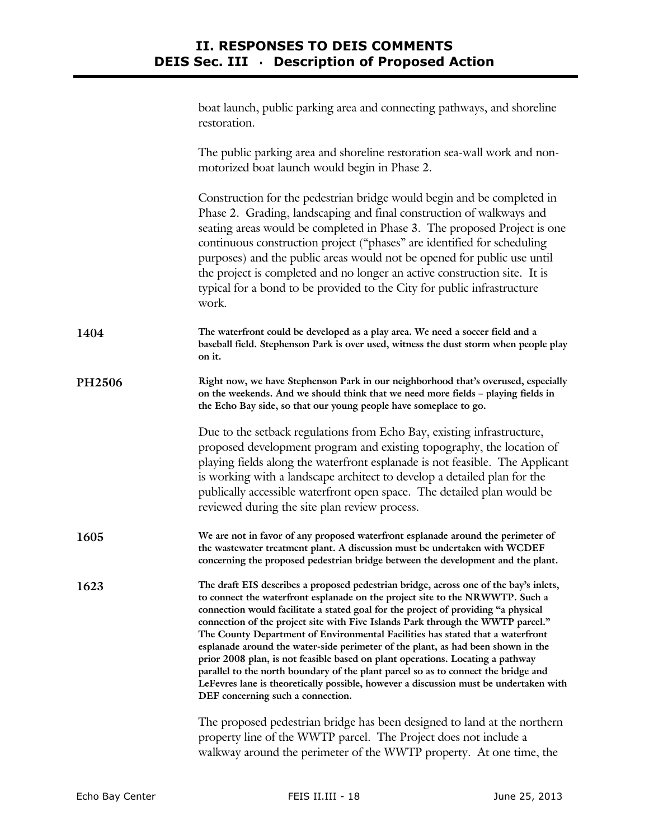|               | boat launch, public parking area and connecting pathways, and shoreline<br>restoration.                                                                                                                                                                                                                                                                                                                                                                                                                                                                                                                                                                                                                                                                                                                                     |
|---------------|-----------------------------------------------------------------------------------------------------------------------------------------------------------------------------------------------------------------------------------------------------------------------------------------------------------------------------------------------------------------------------------------------------------------------------------------------------------------------------------------------------------------------------------------------------------------------------------------------------------------------------------------------------------------------------------------------------------------------------------------------------------------------------------------------------------------------------|
|               | The public parking area and shoreline restoration sea-wall work and non-<br>motorized boat launch would begin in Phase 2.                                                                                                                                                                                                                                                                                                                                                                                                                                                                                                                                                                                                                                                                                                   |
|               | Construction for the pedestrian bridge would begin and be completed in<br>Phase 2. Grading, landscaping and final construction of walkways and<br>seating areas would be completed in Phase 3. The proposed Project is one<br>continuous construction project ("phases" are identified for scheduling<br>purposes) and the public areas would not be opened for public use until<br>the project is completed and no longer an active construction site. It is<br>typical for a bond to be provided to the City for public infrastructure<br>work.                                                                                                                                                                                                                                                                           |
| 1404          | The waterfront could be developed as a play area. We need a soccer field and a<br>baseball field. Stephenson Park is over used, witness the dust storm when people play<br>on it.                                                                                                                                                                                                                                                                                                                                                                                                                                                                                                                                                                                                                                           |
| <b>PH2506</b> | Right now, we have Stephenson Park in our neighborhood that's overused, especially<br>on the weekends. And we should think that we need more fields - playing fields in<br>the Echo Bay side, so that our young people have someplace to go.                                                                                                                                                                                                                                                                                                                                                                                                                                                                                                                                                                                |
|               | Due to the setback regulations from Echo Bay, existing infrastructure,<br>proposed development program and existing topography, the location of<br>playing fields along the waterfront esplanade is not feasible. The Applicant<br>is working with a landscape architect to develop a detailed plan for the<br>publically accessible waterfront open space. The detailed plan would be<br>reviewed during the site plan review process.                                                                                                                                                                                                                                                                                                                                                                                     |
| 1605          | We are not in favor of any proposed waterfront esplanade around the perimeter of<br>the wastewater treatment plant. A discussion must be undertaken with WCDEF<br>concerning the proposed pedestrian bridge between the development and the plant.                                                                                                                                                                                                                                                                                                                                                                                                                                                                                                                                                                          |
| 1623          | The draft EIS describes a proposed pedestrian bridge, across one of the bay's inlets,<br>to connect the waterfront esplanade on the project site to the NRWWTP. Such a<br>connection would facilitate a stated goal for the project of providing "a physical<br>connection of the project site with Five Islands Park through the WWTP parcel."<br>The County Department of Environmental Facilities has stated that a waterfront<br>esplanade around the water-side perimeter of the plant, as had been shown in the<br>prior 2008 plan, is not feasible based on plant operations. Locating a pathway<br>parallel to the north boundary of the plant parcel so as to connect the bridge and<br>LeFevres lane is theoretically possible, however a discussion must be undertaken with<br>DEF concerning such a connection. |
|               | The proposed pedestrian bridge has been designed to land at the northern<br>property line of the WWTP parcel. The Project does not include a<br>walkway around the perimeter of the WWTP property. At one time, the                                                                                                                                                                                                                                                                                                                                                                                                                                                                                                                                                                                                         |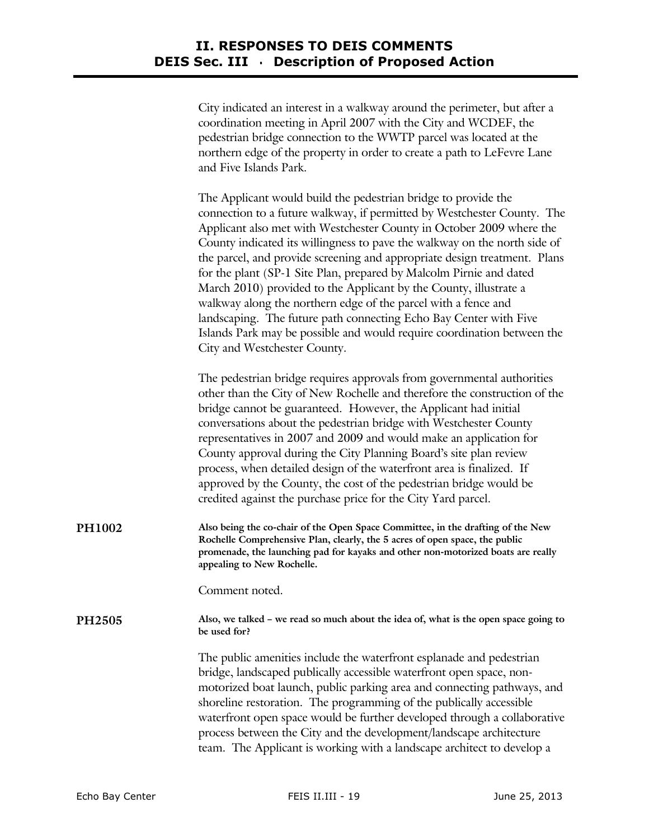| City indicated an interest in a walkway around the perimeter, but after a |
|---------------------------------------------------------------------------|
| coordination meeting in April 2007 with the City and WCDEF, the           |
| pedestrian bridge connection to the WWTP parcel was located at the        |
| northern edge of the property in order to create a path to LeFevre Lane   |
| and Five Islands Park.                                                    |
|                                                                           |

The Applicant would build the pedestrian bridge to provide the connection to a future walkway, if permitted by Westchester County. The Applicant also met with Westchester County in October 2009 where the County indicated its willingness to pave the walkway on the north side of the parcel, and provide screening and appropriate design treatment. Plans for the plant (SP-1 Site Plan, prepared by Malcolm Pirnie and dated March 2010) provided to the Applicant by the County, illustrate a walkway along the northern edge of the parcel with a fence and landscaping. The future path connecting Echo Bay Center with Five Islands Park may be possible and would require coordination between the City and Westchester County.

The pedestrian bridge requires approvals from governmental authorities other than the City of New Rochelle and therefore the construction of the bridge cannot be guaranteed. However, the Applicant had initial conversations about the pedestrian bridge with Westchester County representatives in 2007 and 2009 and would make an application for County approval during the City Planning Board's site plan review process, when detailed design of the waterfront area is finalized. If approved by the County, the cost of the pedestrian bridge would be credited against the purchase price for the City Yard parcel.

**PH1002 Also being the co-chair of the Open Space Committee, in the drafting of the New Rochelle Comprehensive Plan, clearly, the 5 acres of open space, the public promenade, the launching pad for kayaks and other non-motorized boats are really appealing to New Rochelle.** 

Comment noted.

#### **PH2505 Also, we talked – we read so much about the idea of, what is the open space going to be used for?**

The public amenities include the waterfront esplanade and pedestrian bridge, landscaped publically accessible waterfront open space, nonmotorized boat launch, public parking area and connecting pathways, and shoreline restoration. The programming of the publically accessible waterfront open space would be further developed through a collaborative process between the City and the development/landscape architecture team. The Applicant is working with a landscape architect to develop a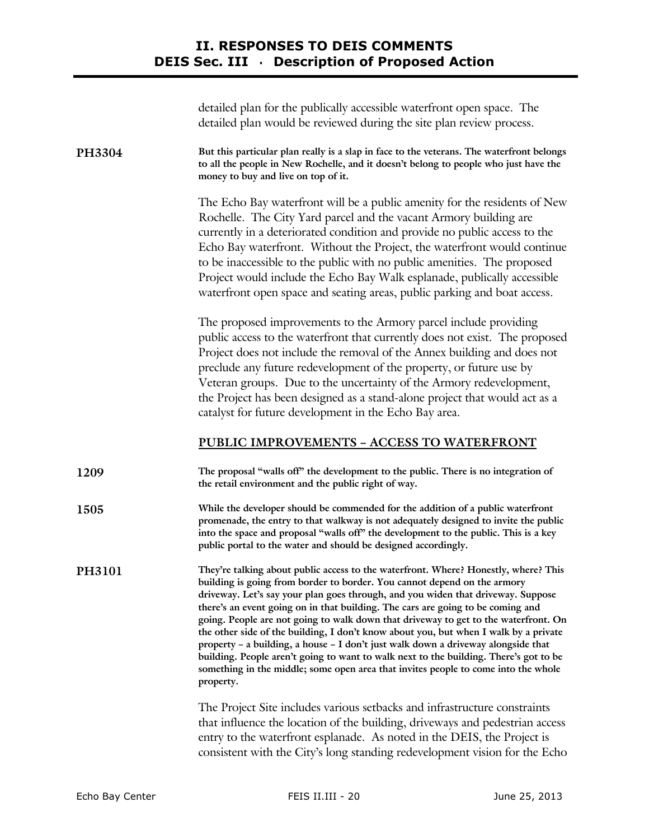detailed plan for the publically accessible waterfront open space. The detailed plan would be reviewed during the site plan review process.

**PH3304 But this particular plan really is a slap in face to the veterans. The waterfront belongs to all the people in New Rochelle, and it doesn't belong to people who just have the money to buy and live on top of it.** 

> The Echo Bay waterfront will be a public amenity for the residents of New Rochelle. The City Yard parcel and the vacant Armory building are currently in a deteriorated condition and provide no public access to the Echo Bay waterfront. Without the Project, the waterfront would continue to be inaccessible to the public with no public amenities. The proposed Project would include the Echo Bay Walk esplanade, publically accessible waterfront open space and seating areas, public parking and boat access.

> The proposed improvements to the Armory parcel include providing public access to the waterfront that currently does not exist. The proposed Project does not include the removal of the Annex building and does not preclude any future redevelopment of the property, or future use by Veteran groups. Due to the uncertainty of the Armory redevelopment, the Project has been designed as a stand-alone project that would act as a catalyst for future development in the Echo Bay area.

### **PUBLIC IMPROVEMENTS – ACCESS TO WATERFRONT**

| 1209          | The proposal "walls off" the development to the public. There is no integration of<br>the retail environment and the public right of way.                                                                                                                                                                                                                                                                                                                                                                                                                                                                                                                                                                                                                                                              |
|---------------|--------------------------------------------------------------------------------------------------------------------------------------------------------------------------------------------------------------------------------------------------------------------------------------------------------------------------------------------------------------------------------------------------------------------------------------------------------------------------------------------------------------------------------------------------------------------------------------------------------------------------------------------------------------------------------------------------------------------------------------------------------------------------------------------------------|
| 1505          | While the developer should be commended for the addition of a public waterfront<br>promenade, the entry to that walkway is not adequately designed to invite the public<br>into the space and proposal "walls off" the development to the public. This is a key<br>public portal to the water and should be designed accordingly.                                                                                                                                                                                                                                                                                                                                                                                                                                                                      |
| <b>PH3101</b> | They're talking about public access to the waterfront. Where? Honestly, where? This<br>building is going from border to border. You cannot depend on the armory<br>driveway. Let's say your plan goes through, and you widen that driveway. Suppose<br>there's an event going on in that building. The cars are going to be coming and<br>going. People are not going to walk down that driveway to get to the waterfront. On<br>the other side of the building, I don't know about you, but when I walk by a private<br>property - a building, a house - I don't just walk down a driveway alongside that<br>building. People aren't going to want to walk next to the building. There's got to be<br>something in the middle; some open area that invites people to come into the whole<br>property. |
|               | The Project Site includes various setbacks and infrastructure constraints<br>that influence the location of the building, driveways and pedestrian access<br>entry to the waterfront esplanade. As noted in the DEIS, the Project is<br>consistent with the City's long standing redevelopment vision for the Echo                                                                                                                                                                                                                                                                                                                                                                                                                                                                                     |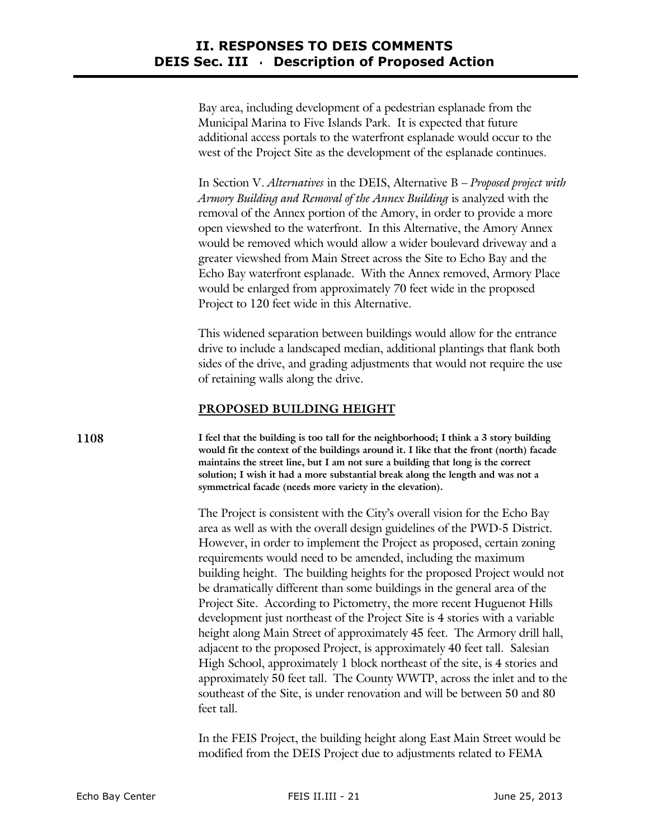Bay area, including development of a pedestrian esplanade from the Municipal Marina to Five Islands Park. It is expected that future additional access portals to the waterfront esplanade would occur to the west of the Project Site as the development of the esplanade continues.

In Section V. *Alternatives* in the DEIS, Alternative B – *Proposed project with Armory Building and Removal of the Annex Building* is analyzed with the removal of the Annex portion of the Amory, in order to provide a more open viewshed to the waterfront. In this Alternative, the Amory Annex would be removed which would allow a wider boulevard driveway and a greater viewshed from Main Street across the Site to Echo Bay and the Echo Bay waterfront esplanade. With the Annex removed, Armory Place would be enlarged from approximately 70 feet wide in the proposed Project to 120 feet wide in this Alternative.

This widened separation between buildings would allow for the entrance drive to include a landscaped median, additional plantings that flank both sides of the drive, and grading adjustments that would not require the use of retaining walls along the drive.

## **PROPOSED BUILDING HEIGHT**

**1108 I feel that the building is too tall for the neighborhood; I think a 3 story building would fit the context of the buildings around it. I like that the front (north) facade maintains the street line, but I am not sure a building that long is the correct solution; I wish it had a more substantial break along the length and was not a symmetrical facade (needs more variety in the elevation).** 

> The Project is consistent with the City's overall vision for the Echo Bay area as well as with the overall design guidelines of the PWD-5 District. However, in order to implement the Project as proposed, certain zoning requirements would need to be amended, including the maximum building height. The building heights for the proposed Project would not be dramatically different than some buildings in the general area of the Project Site. According to Pictometry, the more recent Huguenot Hills development just northeast of the Project Site is 4 stories with a variable height along Main Street of approximately 45 feet. The Armory drill hall, adjacent to the proposed Project, is approximately 40 feet tall. Salesian High School, approximately 1 block northeast of the site, is 4 stories and approximately 50 feet tall. The County WWTP, across the inlet and to the southeast of the Site, is under renovation and will be between 50 and 80 feet tall.

In the FEIS Project, the building height along East Main Street would be modified from the DEIS Project due to adjustments related to FEMA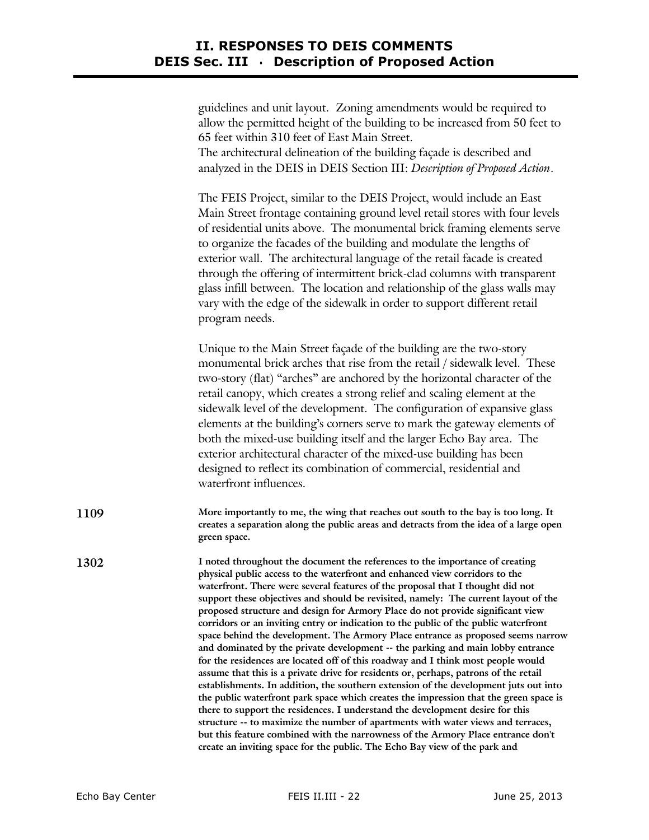guidelines and unit layout. Zoning amendments would be required to allow the permitted height of the building to be increased from 50 feet to 65 feet within 310 feet of East Main Street. The architectural delineation of the building façade is described and analyzed in the DEIS in DEIS Section III: *Description of Proposed Action*.

The FEIS Project, similar to the DEIS Project, would include an East Main Street frontage containing ground level retail stores with four levels of residential units above. The monumental brick framing elements serve to organize the facades of the building and modulate the lengths of exterior wall. The architectural language of the retail facade is created through the offering of intermittent brick-clad columns with transparent glass infill between. The location and relationship of the glass walls may vary with the edge of the sidewalk in order to support different retail program needs.

Unique to the Main Street façade of the building are the two-story monumental brick arches that rise from the retail / sidewalk level. These two-story (flat) "arches" are anchored by the horizontal character of the retail canopy, which creates a strong relief and scaling element at the sidewalk level of the development. The configuration of expansive glass elements at the building's corners serve to mark the gateway elements of both the mixed-use building itself and the larger Echo Bay area. The exterior architectural character of the mixed-use building has been designed to reflect its combination of commercial, residential and waterfront influences.

**1109 More importantly to me, the wing that reaches out south to the bay is too long. It creates a separation along the public areas and detracts from the idea of a large open green space.** 

**1302 I noted throughout the document the references to the importance of creating physical public access to the waterfront and enhanced view corridors to the waterfront. There were several features of the proposal that I thought did not support these objectives and should be revisited, namely: The current layout of the proposed structure and design for Armory Place do not provide significant view corridors or an inviting entry or indication to the public of the public waterfront space behind the development. The Armory Place entrance as proposed seems narrow and dominated by the private development -- the parking and main lobby entrance for the residences are located off of this roadway and I think most people would assume that this is a private drive for residents or, perhaps, patrons of the retail establishments. In addition, the southern extension of the development juts out into the public waterfront park space which creates the impression that the green space is there to support the residences. I understand the development desire for this structure -- to maximize the number of apartments with water views and terraces, but this feature combined with the narrowness of the Armory Place entrance don't create an inviting space for the public. The Echo Bay view of the park and**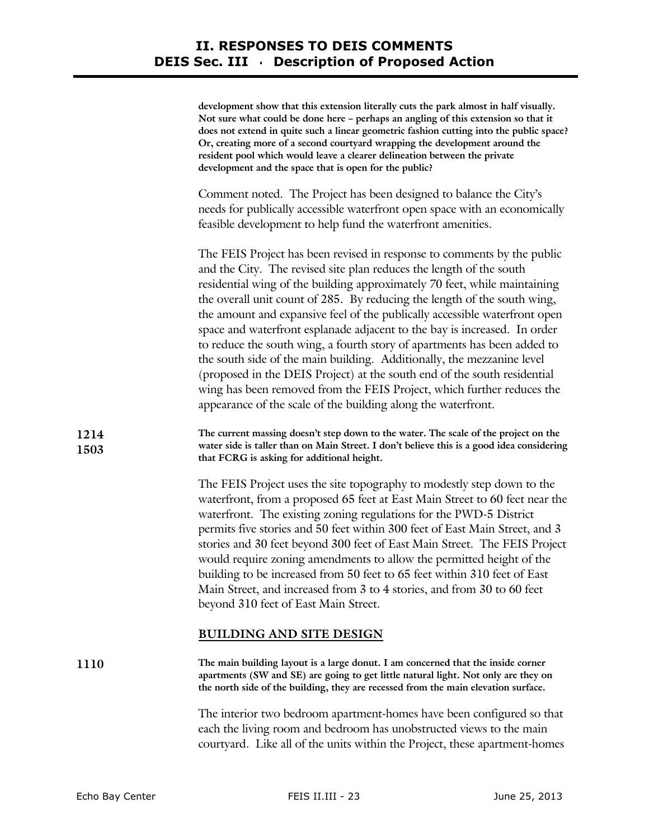|              | development show that this extension literally cuts the park almost in half visually.<br>Not sure what could be done here - perhaps an angling of this extension so that it<br>does not extend in quite such a linear geometric fashion cutting into the public space?<br>Or, creating more of a second courtyard wrapping the development around the<br>resident pool which would leave a clearer delineation between the private<br>development and the space that is open for the public?                                                                                                                                                                                                                                                                                                                                                    |
|--------------|-------------------------------------------------------------------------------------------------------------------------------------------------------------------------------------------------------------------------------------------------------------------------------------------------------------------------------------------------------------------------------------------------------------------------------------------------------------------------------------------------------------------------------------------------------------------------------------------------------------------------------------------------------------------------------------------------------------------------------------------------------------------------------------------------------------------------------------------------|
|              | Comment noted. The Project has been designed to balance the City's<br>needs for publically accessible waterfront open space with an economically<br>feasible development to help fund the waterfront amenities.                                                                                                                                                                                                                                                                                                                                                                                                                                                                                                                                                                                                                                 |
|              | The FEIS Project has been revised in response to comments by the public<br>and the City. The revised site plan reduces the length of the south<br>residential wing of the building approximately 70 feet, while maintaining<br>the overall unit count of 285. By reducing the length of the south wing,<br>the amount and expansive feel of the publically accessible waterfront open<br>space and waterfront esplanade adjacent to the bay is increased. In order<br>to reduce the south wing, a fourth story of apartments has been added to<br>the south side of the main building. Additionally, the mezzanine level<br>(proposed in the DEIS Project) at the south end of the south residential<br>wing has been removed from the FEIS Project, which further reduces the<br>appearance of the scale of the building along the waterfront. |
| 1214<br>1503 | The current massing doesn't step down to the water. The scale of the project on the<br>water side is taller than on Main Street. I don't believe this is a good idea considering<br>that FCRG is asking for additional height.                                                                                                                                                                                                                                                                                                                                                                                                                                                                                                                                                                                                                  |
|              | The FEIS Project uses the site topography to modestly step down to the<br>waterfront, from a proposed 65 feet at East Main Street to 60 feet near the<br>waterfront. The existing zoning regulations for the PWD-5 District<br>permits five stories and 50 feet within 300 feet of East Main Street, and 3<br>stories and 30 feet beyond 300 feet of East Main Street. The FEIS Project<br>would require zoning amendments to allow the permitted height of the<br>building to be increased from 50 feet to 65 feet within 310 feet of East<br>Main Street, and increased from 3 to 4 stories, and from 30 to 60 feet<br>beyond 310 feet of East Main Street.                                                                                                                                                                                   |
|              | <b>BUILDING AND SITE DESIGN</b>                                                                                                                                                                                                                                                                                                                                                                                                                                                                                                                                                                                                                                                                                                                                                                                                                 |
| 1110         | The main building layout is a large donut. I am concerned that the inside corner<br>apartments (SW and SE) are going to get little natural light. Not only are they on<br>the north side of the building, they are recessed from the main elevation surface.                                                                                                                                                                                                                                                                                                                                                                                                                                                                                                                                                                                    |
|              | The interior two bedroom apartment-homes have been configured so that<br>each the living room and bedroom has unobstructed views to the main<br>courtyard. Like all of the units within the Project, these apartment-homes                                                                                                                                                                                                                                                                                                                                                                                                                                                                                                                                                                                                                      |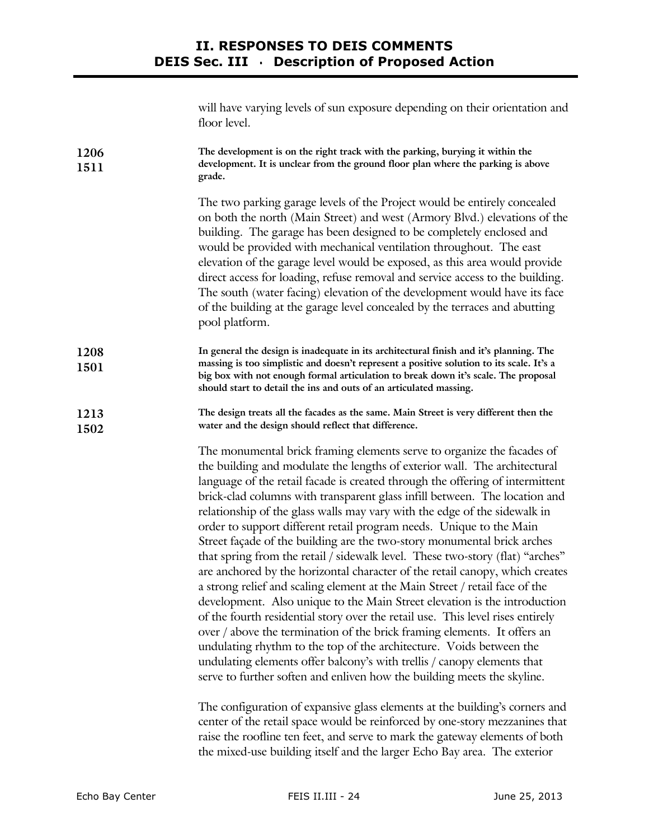will have varying levels of sun exposure depending on their orientation and floor level.

| 1206 | The development is on the right track with the parking, burying it within the    |
|------|----------------------------------------------------------------------------------|
| 1511 | development. It is unclear from the ground floor plan where the parking is above |
|      | grade.                                                                           |

The two parking garage levels of the Project would be entirely concealed on both the north (Main Street) and west (Armory Blvd.) elevations of the building. The garage has been designed to be completely enclosed and would be provided with mechanical ventilation throughout. The east elevation of the garage level would be exposed, as this area would provide direct access for loading, refuse removal and service access to the building. The south (water facing) elevation of the development would have its face of the building at the garage level concealed by the terraces and abutting pool platform.

- **1208 1501 In general the design is inadequate in its architectural finish and it's planning. The massing is too simplistic and doesn't represent a positive solution to its scale. It's a big box with not enough formal articulation to break down it's scale. The proposal should start to detail the ins and outs of an articulated massing.**
- **1213 1502 The design treats all the facades as the same. Main Street is very different then the water and the design should reflect that difference.**

The monumental brick framing elements serve to organize the facades of the building and modulate the lengths of exterior wall. The architectural language of the retail facade is created through the offering of intermittent brick-clad columns with transparent glass infill between. The location and relationship of the glass walls may vary with the edge of the sidewalk in order to support different retail program needs. Unique to the Main Street façade of the building are the two-story monumental brick arches that spring from the retail / sidewalk level. These two-story (flat) "arches" are anchored by the horizontal character of the retail canopy, which creates a strong relief and scaling element at the Main Street / retail face of the development. Also unique to the Main Street elevation is the introduction of the fourth residential story over the retail use. This level rises entirely over / above the termination of the brick framing elements. It offers an undulating rhythm to the top of the architecture. Voids between the undulating elements offer balcony's with trellis / canopy elements that serve to further soften and enliven how the building meets the skyline.

The configuration of expansive glass elements at the building's corners and center of the retail space would be reinforced by one-story mezzanines that raise the roofline ten feet, and serve to mark the gateway elements of both the mixed-use building itself and the larger Echo Bay area. The exterior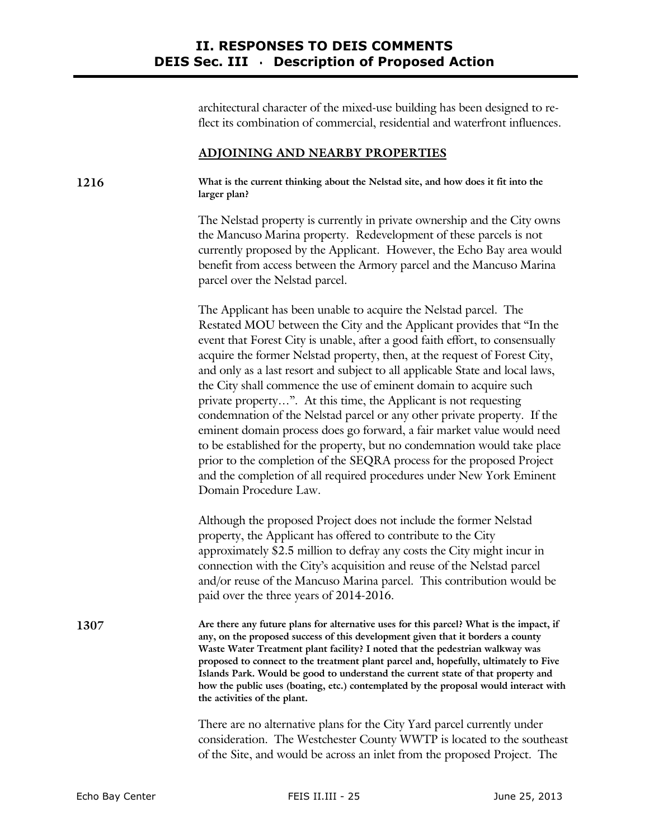architectural character of the mixed-use building has been designed to reflect its combination of commercial, residential and waterfront influences.

#### **ADJOINING AND NEARBY PROPERTIES**

**1216 What is the current thinking about the Nelstad site, and how does it fit into the larger plan?** 

> The Nelstad property is currently in private ownership and the City owns the Mancuso Marina property. Redevelopment of these parcels is not currently proposed by the Applicant. However, the Echo Bay area would benefit from access between the Armory parcel and the Mancuso Marina parcel over the Nelstad parcel.

> The Applicant has been unable to acquire the Nelstad parcel. The Restated MOU between the City and the Applicant provides that "In the event that Forest City is unable, after a good faith effort, to consensually acquire the former Nelstad property, then, at the request of Forest City, and only as a last resort and subject to all applicable State and local laws, the City shall commence the use of eminent domain to acquire such private property…". At this time, the Applicant is not requesting condemnation of the Nelstad parcel or any other private property. If the eminent domain process does go forward, a fair market value would need to be established for the property, but no condemnation would take place prior to the completion of the SEQRA process for the proposed Project and the completion of all required procedures under New York Eminent Domain Procedure Law.

Although the proposed Project does not include the former Nelstad property, the Applicant has offered to contribute to the City approximately \$2.5 million to defray any costs the City might incur in connection with the City's acquisition and reuse of the Nelstad parcel and/or reuse of the Mancuso Marina parcel. This contribution would be paid over the three years of 2014-2016.

**1307 Are there any future plans for alternative uses for this parcel? What is the impact, if any, on the proposed success of this development given that it borders a county Waste Water Treatment plant facility? I noted that the pedestrian walkway was proposed to connect to the treatment plant parcel and, hopefully, ultimately to Five Islands Park. Would be good to understand the current state of that property and how the public uses (boating, etc.) contemplated by the proposal would interact with the activities of the plant.** 

> There are no alternative plans for the City Yard parcel currently under consideration. The Westchester County WWTP is located to the southeast of the Site, and would be across an inlet from the proposed Project. The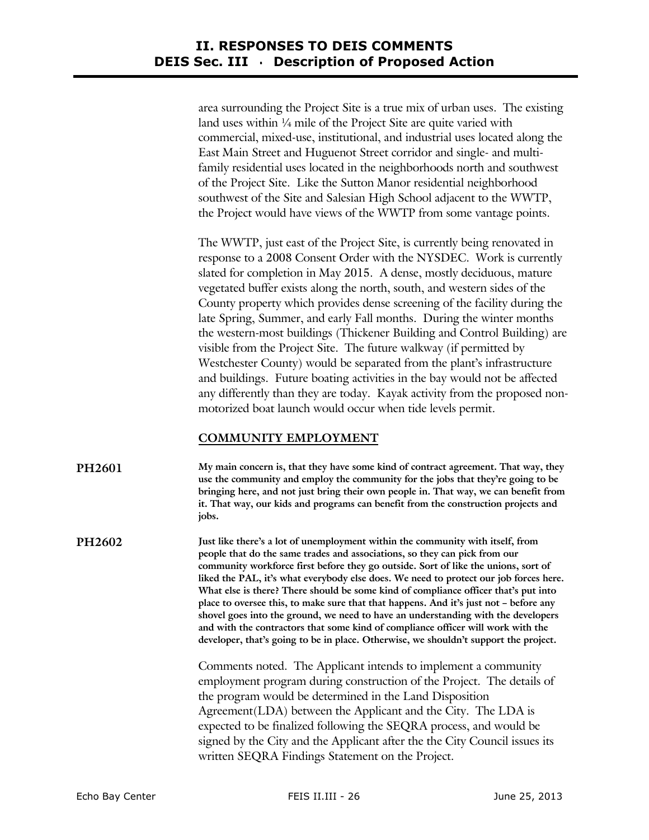area surrounding the Project Site is a true mix of urban uses. The existing land uses within 1/4 mile of the Project Site are quite varied with commercial, mixed-use, institutional, and industrial uses located along the East Main Street and Huguenot Street corridor and single- and multifamily residential uses located in the neighborhoods north and southwest of the Project Site. Like the Sutton Manor residential neighborhood southwest of the Site and Salesian High School adjacent to the WWTP, the Project would have views of the WWTP from some vantage points.

The WWTP, just east of the Project Site, is currently being renovated in response to a 2008 Consent Order with the NYSDEC. Work is currently slated for completion in May 2015. A dense, mostly deciduous, mature vegetated buffer exists along the north, south, and western sides of the County property which provides dense screening of the facility during the late Spring, Summer, and early Fall months. During the winter months the western-most buildings (Thickener Building and Control Building) are visible from the Project Site. The future walkway (if permitted by Westchester County) would be separated from the plant's infrastructure and buildings. Future boating activities in the bay would not be affected any differently than they are today. Kayak activity from the proposed nonmotorized boat launch would occur when tide levels permit.

#### **COMMUNITY EMPLOYMENT**

**PH2601 My main concern is, that they have some kind of contract agreement. That way, they use the community and employ the community for the jobs that they're going to be bringing here, and not just bring their own people in. That way, we can benefit from it. That way, our kids and programs can benefit from the construction projects and jobs.** 

**PH2602 Just like there's a lot of unemployment within the community with itself, from people that do the same trades and associations, so they can pick from our community workforce first before they go outside. Sort of like the unions, sort of liked the PAL, it's what everybody else does. We need to protect our job forces here. What else is there? There should be some kind of compliance officer that's put into place to oversee this, to make sure that that happens. And it's just not – before any shovel goes into the ground, we need to have an understanding with the developers and with the contractors that some kind of compliance officer will work with the developer, that's going to be in place. Otherwise, we shouldn't support the project.** 

> Comments noted. The Applicant intends to implement a community employment program during construction of the Project. The details of the program would be determined in the Land Disposition Agreement(LDA) between the Applicant and the City. The LDA is expected to be finalized following the SEQRA process, and would be signed by the City and the Applicant after the the City Council issues its written SEQRA Findings Statement on the Project.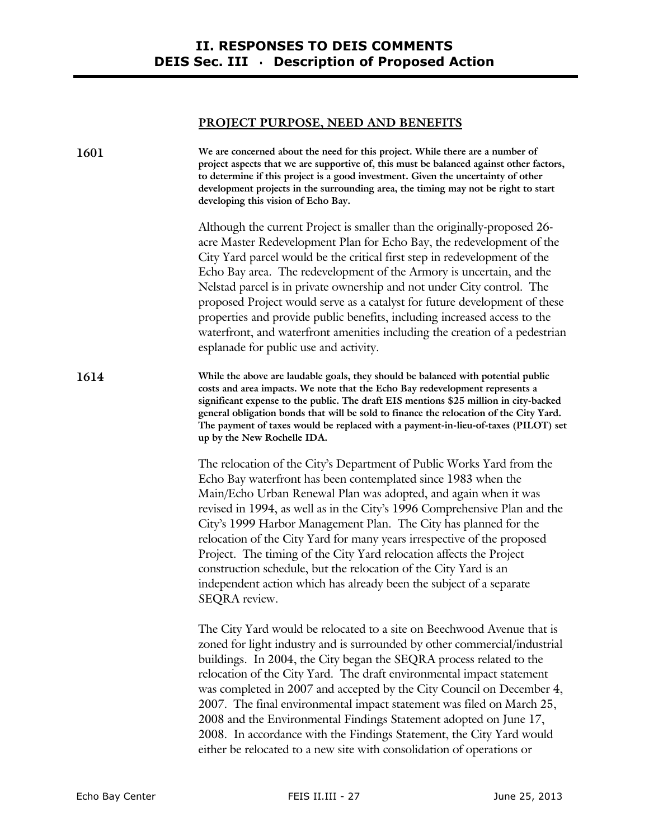## **PROJECT PURPOSE, NEED AND BENEFITS**

| 1601 | We are concerned about the need for this project. While there are a number of<br>project aspects that we are supportive of, this must be balanced against other factors,<br>to determine if this project is a good investment. Given the uncertainty of other<br>development projects in the surrounding area, the timing may not be right to start<br>developing this vision of Echo Bay.                                                                                                                                                                                                                                                                                  |
|------|-----------------------------------------------------------------------------------------------------------------------------------------------------------------------------------------------------------------------------------------------------------------------------------------------------------------------------------------------------------------------------------------------------------------------------------------------------------------------------------------------------------------------------------------------------------------------------------------------------------------------------------------------------------------------------|
|      | Although the current Project is smaller than the originally-proposed 26-<br>acre Master Redevelopment Plan for Echo Bay, the redevelopment of the<br>City Yard parcel would be the critical first step in redevelopment of the<br>Echo Bay area. The redevelopment of the Armory is uncertain, and the<br>Nelstad parcel is in private ownership and not under City control. The<br>proposed Project would serve as a catalyst for future development of these<br>properties and provide public benefits, including increased access to the<br>waterfront, and waterfront amenities including the creation of a pedestrian<br>esplanade for public use and activity.        |
| 1614 | While the above are laudable goals, they should be balanced with potential public<br>costs and area impacts. We note that the Echo Bay redevelopment represents a<br>significant expense to the public. The draft EIS mentions \$25 million in city-backed<br>general obligation bonds that will be sold to finance the relocation of the City Yard.<br>The payment of taxes would be replaced with a payment-in-lieu-of-taxes (PILOT) set<br>up by the New Rochelle IDA.                                                                                                                                                                                                   |
|      | The relocation of the City's Department of Public Works Yard from the<br>Echo Bay waterfront has been contemplated since 1983 when the<br>Main/Echo Urban Renewal Plan was adopted, and again when it was<br>revised in 1994, as well as in the City's 1996 Comprehensive Plan and the<br>City's 1999 Harbor Management Plan. The City has planned for the<br>relocation of the City Yard for many years irrespective of the proposed<br>Project. The timing of the City Yard relocation affects the Project<br>construction schedule, but the relocation of the City Yard is an<br>independent action which has already been the subject of a separate<br>SEQRA review.    |
|      | The City Yard would be relocated to a site on Beechwood Avenue that is<br>zoned for light industry and is surrounded by other commercial/industrial<br>buildings. In 2004, the City began the SEQRA process related to the<br>relocation of the City Yard. The draft environmental impact statement<br>was completed in 2007 and accepted by the City Council on December 4,<br>2007. The final environmental impact statement was filed on March 25,<br>2008 and the Environmental Findings Statement adopted on June 17,<br>2008. In accordance with the Findings Statement, the City Yard would<br>either be relocated to a new site with consolidation of operations or |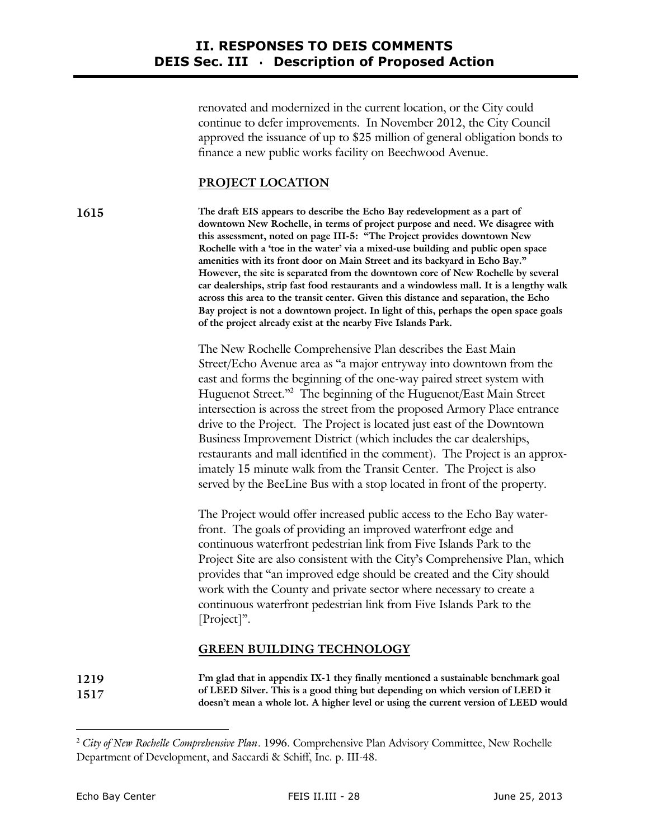renovated and modernized in the current location, or the City could continue to defer improvements. In November 2012, the City Council approved the issuance of up to \$25 million of general obligation bonds to finance a new public works facility on Beechwood Avenue.

#### **PROJECT LOCATION**

**1615 The draft EIS appears to describe the Echo Bay redevelopment as a part of downtown New Rochelle, in terms of project purpose and need. We disagree with this assessment, noted on page III-5: "The Project provides downtown New Rochelle with a 'toe in the water' via a mixed-use building and public open space amenities with its front door on Main Street and its backyard in Echo Bay." However, the site is separated from the downtown core of New Rochelle by several car dealerships, strip fast food restaurants and a windowless mall. It is a lengthy walk across this area to the transit center. Given this distance and separation, the Echo Bay project is not a downtown project. In light of this, perhaps the open space goals of the project already exist at the nearby Five Islands Park.** 

> The New Rochelle Comprehensive Plan describes the East Main Street/Echo Avenue area as "a major entryway into downtown from the east and forms the beginning of the one-way paired street system with Huguenot Street."<sup>2</sup> The beginning of the Huguenot/East Main Street intersection is across the street from the proposed Armory Place entrance drive to the Project. The Project is located just east of the Downtown Business Improvement District (which includes the car dealerships, restaurants and mall identified in the comment). The Project is an approximately 15 minute walk from the Transit Center. The Project is also served by the BeeLine Bus with a stop located in front of the property.

> The Project would offer increased public access to the Echo Bay waterfront. The goals of providing an improved waterfront edge and continuous waterfront pedestrian link from Five Islands Park to the Project Site are also consistent with the City's Comprehensive Plan, which provides that "an improved edge should be created and the City should work with the County and private sector where necessary to create a continuous waterfront pedestrian link from Five Islands Park to the [Project]".

#### **GREEN BUILDING TECHNOLOGY**

**1219 1517 I'm glad that in appendix IX-1 they finally mentioned a sustainable benchmark goal of LEED Silver. This is a good thing but depending on which version of LEED it doesn't mean a whole lot. A higher level or using the current version of LEED would** 

-

<sup>2</sup> *City of New Rochelle Comprehensive Plan*. 1996. Comprehensive Plan Advisory Committee, New Rochelle Department of Development, and Saccardi & Schiff, Inc. p. III-48.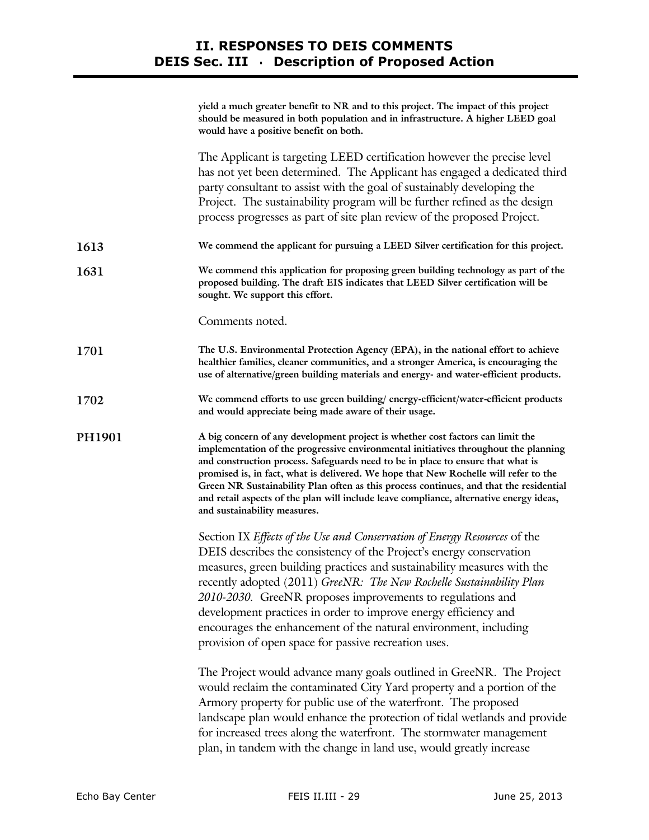|               | yield a much greater benefit to NR and to this project. The impact of this project<br>should be measured in both population and in infrastructure. A higher LEED goal<br>would have a positive benefit on both.                                                                                                                                                                                                                                                                                                                                                       |
|---------------|-----------------------------------------------------------------------------------------------------------------------------------------------------------------------------------------------------------------------------------------------------------------------------------------------------------------------------------------------------------------------------------------------------------------------------------------------------------------------------------------------------------------------------------------------------------------------|
|               | The Applicant is targeting LEED certification however the precise level<br>has not yet been determined. The Applicant has engaged a dedicated third<br>party consultant to assist with the goal of sustainably developing the<br>Project. The sustainability program will be further refined as the design<br>process progresses as part of site plan review of the proposed Project.                                                                                                                                                                                 |
| 1613          | We commend the applicant for pursuing a LEED Silver certification for this project.                                                                                                                                                                                                                                                                                                                                                                                                                                                                                   |
| 1631          | We commend this application for proposing green building technology as part of the<br>proposed building. The draft EIS indicates that LEED Silver certification will be<br>sought. We support this effort.                                                                                                                                                                                                                                                                                                                                                            |
|               | Comments noted.                                                                                                                                                                                                                                                                                                                                                                                                                                                                                                                                                       |
| 1701          | The U.S. Environmental Protection Agency (EPA), in the national effort to achieve<br>healthier families, cleaner communities, and a stronger America, is encouraging the<br>use of alternative/green building materials and energy- and water-efficient products.                                                                                                                                                                                                                                                                                                     |
| 1702          | We commend efforts to use green building/ energy-efficient/water-efficient products<br>and would appreciate being made aware of their usage.                                                                                                                                                                                                                                                                                                                                                                                                                          |
| <b>PH1901</b> | A big concern of any development project is whether cost factors can limit the<br>implementation of the progressive environmental initiatives throughout the planning<br>and construction process. Safeguards need to be in place to ensure that what is<br>promised is, in fact, what is delivered. We hope that New Rochelle will refer to the<br>Green NR Sustainability Plan often as this process continues, and that the residential<br>and retail aspects of the plan will include leave compliance, alternative energy ideas,<br>and sustainability measures. |
|               | Section IX Effects of the Use and Conservation of Energy Resources of the<br>DEIS describes the consistency of the Project's energy conservation<br>measures, green building practices and sustainability measures with the<br>recently adopted (2011) GreeNR: The New Rochelle Sustainability Plan<br>2010-2030. GreeNR proposes improvements to regulations and<br>development practices in order to improve energy efficiency and<br>encourages the enhancement of the natural environment, including<br>provision of open space for passive recreation uses.      |
|               | The Project would advance many goals outlined in GreeNR. The Project<br>would reclaim the contaminated City Yard property and a portion of the<br>Armory property for public use of the waterfront. The proposed<br>landscape plan would enhance the protection of tidal wetlands and provide<br>for increased trees along the waterfront. The stormwater management<br>plan, in tandem with the change in land use, would greatly increase                                                                                                                           |